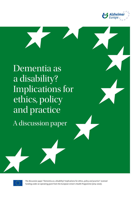

Dementia as a disability? Implications for ethics, policy and practice A discussion paper



The discussion paper "Dementia as a disability? Implications for ethics, policy and practice" received funding under an operating grant from the European Union's Health Programme (2014–2020).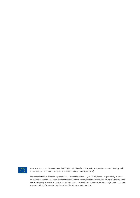

The discussion paper "Dementia as a disability? Implications for ethics, policy and practice" received funding under an operating grant from the European Union's Health Programme (2014–2020).

The content of this publication represents the views of the author only and is his/her sole responsibility. It cannot be considered to reflect the views of the European Commission and/or the Consumers, Health, Agriculture and Food Executive Agency or any other body of the European Union. The European Commission and the Agency do not accept any responsibility for use that may be made of the information it contains.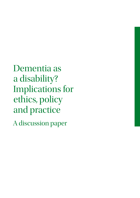Dementia as a disability? Implications for ethics, policy and practice A discussion paper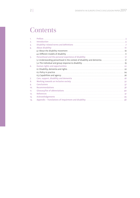## **Contents**

| 1.  |                                                                                                                |  |
|-----|----------------------------------------------------------------------------------------------------------------|--|
| 2.  |                                                                                                                |  |
| 3.  |                                                                                                                |  |
| 4.  |                                                                                                                |  |
|     |                                                                                                                |  |
|     |                                                                                                                |  |
| 5.  |                                                                                                                |  |
|     |                                                                                                                |  |
|     |                                                                                                                |  |
| 6.  |                                                                                                                |  |
|     |                                                                                                                |  |
|     |                                                                                                                |  |
|     |                                                                                                                |  |
| 7.  | Care, support, disability and dementia manufacture and continuum and the state and the case of the case of the |  |
| 8.  |                                                                                                                |  |
| 9.  |                                                                                                                |  |
| 10. |                                                                                                                |  |
| 11. |                                                                                                                |  |
| 12. |                                                                                                                |  |
| 13. |                                                                                                                |  |
| 14. |                                                                                                                |  |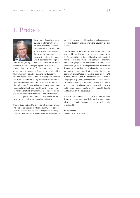## 1. Preface



In my role as Chair of Alzheimer Europe, combined with my professional experience in the field of dementia and also my personal experience with dementia in my family, I am pleased to present this discussion paper which addresses the implica-

tions of recognising dementia as a potential disability. Alzheimer Europe has long recognised that dementia can result in disability. This is reflected in various reports produced in the context of the European Dementia Ethics Network, which was set up by Alzheimer Europe in 2009 and addresses a different ethical issue every year. However, this is the first time that the organisation has dedicated its annual ethics review specifically to dementia and disability. The exploration of ethical, policy and practice implications is particularly timely and coincides with ongoing developments in the fields of human rights and disability. This paper highlights issues that need to be further addressed but in many places takes a clear stance on potential ethical issues and on implications for policy and practice.

Dementia as a disability is a relatively new and emerging area of exploration in which disability enables us to look at dementia from a different perspective, or through a different lens as it were. Relevant stakeholders need to

familiarise themselves with the topics and concepts surrounding disability and see where they stand in relation to these.

This document is the result of a year's work carried out by the ethics working group in close collaboration with the European Working Group of People with Dementia. I would like to express my sincere gratitude to the members of both groups who shared their expertise, experience and knowledge and in so doing helped raise awareness of dementia and disability. The members of the ethics working group, which was chaired by Dianne Gove, include Jean Georges, Grainne McGettrick, Andrea Capstick, Toby Williamson, Sébastien Libert, Helen Rochford-Brennan, Carmel Geoghegan, Helga Rohra, June Andrews and Simo Vehmas. I would also like to offer my grateful thanks to the whole of the European Working Group of People with Dementia and their carers/supporters for providing valuable insight and feedback on the issues covered.

As this is a discussion paper, I hope that it will promote debate and contribute towards future developments in advocacy and policy insofar as this relates to dementia as a disability.

#### Iva Holmerová

Chair of Alzheimer Europe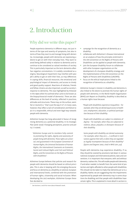## 2. Introduction

## Why did we write this paper?

People experience dementia in different ways, not just in terms of the type and severity of symptoms, but also in terms of how they react to and manage living with dementia. Increasingly, people with dementia are expressing a desire to get on with their everyday lives. They want to avoid being defined solely in relation to dementia and to continue to be considered as valued members of society. This is particularly important as the term dementia often has negative connotations. It is widely considered as a stigma. Neurological impairment may interfere with people's ability to get on with their lives, as may differences in coping skills, financial resources, the emotional and psychological impact of dementia, and access to timely and good quality support. Reactions of relatives, friends and fellow citizens are also important, as well as society's response to dementia. This was highlighted by Kitwood in the 1990s when he outlined what came to be known as the biopsychosocial model of dementia'. There are also differences at the level of society, reflected in practices, attitudes and structures. These may, on the surface, seem fair or neutral (i.e. "that's just the way it is"). In many cases, however, they reflect a lack of consideration and failure to act in a responsible, ethical and even legal way towards people with dementia.

Alzheimer Europe has long advocated in favour of recognising dementia as a potential disability. In its Strategic Plan (2016–2020) 'Changing perceptions, practice and policy', it stated,

*"Alzheimer Europe and its members fully commit to promoting the rights, dignity and autonomy of people living with dementia. These rights are universal, and guaranteed in the European Convention of Human Rights, the Universal Declaration of Human Rights, the International Covenants on Economic, Social and Cultural Rights and Civil and Political Rights, and the Convention on the Rights of Persons with Disabilities".*

Alzheimer Europe believes that policies and research for people with dementia should be based on ethical principles. This is also in keeping with the emerging discourse and focus on dementia as a disability at national, European and international levels, combined with the promotion of human rights, citizenship and social inclusion. When developing the 2017 workplan, Alzheimer Europe therefore decided to:

1

- campaign for the recognition of dementia as a disability;
- collaborate with Alzheimer's Disease International on an analysis of how the principles enshrined in the UN Convention on the Rights of Persons with Disabilities can be applied to people with dementia;
- join the European Disability Forum to collaborate with other European organisations on the development of a European disability strategy and the implementation of the UN Convention on the Rights of Persons with Disabilities (UNCRPD);
- focus on the ethical implications linked to the recognition of dementia as a disability.

Alzheimer Europe's interest in disability and dementia is also linked to the desire to promote the human rights of people with dementia. In the World Health Organisation (WHO) 2011 Report on Disability, disability is described as a human rights issue because:

*"People with disabilities experience inequalities – for example, when they are denied equal access to health care, employment, education, or political participation because of their disability.*

*People with disabilities are subject to violations of dignity – for example, when they are subjected to violence, abuse, prejudice, or disrespect because of their disability.*

*Some people with disability are denied autonomy*  - for example, when they are (.....) confined in insti*tutions against their will, or when they are regarded as legally incompetent because of their disability" (Quinn and Degener 2002, cited in WHO 2011, p.9).*

People with dementia may experience disability. If so, they should be covered by provisions laid down in various national, European and international policies, laws and conventions. It is important that everyone, with and without dementia, realises this. This will enable people with dementia, if and when needed, to benefit from the same kind of protection and rights afforded to other people with disabilities. This should not be taken to imply that dementia *per se* is a disability. Rather, we are suggesting that the impairments experienced by people with dementia may in some situations be disabling and that people with disabilities have certain rights. This is explained in more detail in section 6.1.

See Sections 7 and 8 for more about Kitwood's work.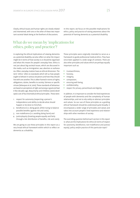Clearly, ethical issues and human rights are closely related and intertwined, with one or the other of these two important societal ideals being at the forefront of discussions.

In this report, we focus on the possible implications for ethics, policy and practice of raising awareness about the potential of framing dementia as a potential disability.

### What do we mean by 'implications for ethics, policy and practice'?

In exploring the ethical implications of viewing dementia as a potential disability, we also reflect on what the impact might be in terms of how society is or should be organised and what this means for people's everyday lives. Ethics is not just about big societal issues, which are discussed in the media, such as immigration, war, abortion or euthanasia. Often, everyday matters have an ethical dimension. The term 'ethics' refers to standards which tell us how people ought to behave in various situations and how they should live with one another. This is often framed in terms of rights, obligations, duties, benefits to society, fairness or specific virtues (Velasquez et al, 2010). These standards of behaviour are based on perceptions of right and wrong or good and bad. A few decades ago, Beauchamp and Childress (2001) developed a set of four biomedical ethical principles . These were:

- 1. respect for autonomy (respecting a person's independence and ability to decide what should happen or be done to him/her),
- 2. beneficence (i.e. doing good, whilst trying to balance possible benefits against risk and costs),
- 3. non-maleficence (i.e. avoiding doing harm) and
- 4. justice/equity (treating people equally and fairly through a fair distribution of benefits, risk and costs).

We are going to use these principles in this report as a very broad ethical framework within which to reflect on dementia as a disability.

These principles were originally intended to serve as a framework to guide professional medical ethics. They have since been applied in a wide range of contexts. There are also other principles and values which are perhaps equally important such as:

- trustworthiness,
- honesty,
- integrity,
- compassion,
- ensuring well-being,
- confidentiality,
- **•** respect for privacy, personhood and dignity.

In addition, it is important to consider the lived experiences of people with dementia and the complexity of human relationships, and not to rely solely on abstract principles and values. So our use of these principles as a guiding ethical framework should be understood quite broadly. It encompasses a wider range of principles and values and takes into account people's lived experience and relationships with other members of society.

The overriding question behind each section in this report is: what are the implications for ethics (in terms of respect for autonomy, beneficence, non-maleficence and justice/ equity), policy and/or practice of this particular topic?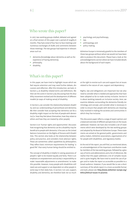### Who wrote this paper?

In 2017, two working groups drafted, debated and agreed on a final version of this paper over a period of roughly 8 months. They had a total of four face-to-face meetings and numerous exchanges of drafts and comments between those meetings. The two groups had expertise in relevant areas such as:

- dementia (knowledge about dementia as well as the experience of having dementia),
- philosophy,
- disability,

### What's in this paper?

In this paper, we have tried to highlight issues which we feel require attention and may need further debate, discussion and reflection. After this introduction, we look, in Section 3, at disability-related terms and definitions. We then set the scene in Section 4 by discussing how the disability movement evolved and the development of different models (or ways of making sense) of disability.

In Section 5, we consider the relationship between disability and our understanding of personhood and dementia. We then consider how accepting that dementia *can* be a disability might impact on the lives of people with dementia (i.e. how they feel about themselves, how they relate to others and how they are treated by other people).

Section 6 on 'human rights and opportunities' discusses how recognising that dementia can be a disability may be beneficial to people with dementia. It focuses on the United Nations Convention on the Rights of Persons with Disabilities. This section also looks at the relationship between policy and practice, and considers more abstract rights. These are sometimes called capabilities by philosophers. They reflect basic minimum requirements for leading "a good life" that every human being should be entitled to.

The concept of disability is helpful in raising awareness of people's right to be treated equally and fairly. There is an emphasis on empowerment and society's responsibility to make 'reasonable adjustments or amendments' to make this possible. However, many people with disabilities still need care and support or are dependent on other people in some way in their daily lives. In section 7 on care, support, disability and dementia, we therefore look not so much

- psychology and psychotherapy,
- law,
- anthropology and
- policy making.

Alzheimer Europe is immensely grateful to the members of these two groups without whom we would not have been able to produce this document. Please have a look at the acknowledgements section where we have included details about the background of each expert.

at the right to receive such care and support but at issues related to the nature of care, support and dependency.

Rights, law and obligations are important but we also need to consider what is needed and approaches that have been adopted so far to make society inclusive. Section 8 is about working towards an inclusive society. Here, we examine debates surrounding the dementia-friendly terminology and concept, and consider what is necessary in order to ensure that people with dementia are meaningfully involved in making the societies and communities in which they live inclusive.

This discussion paper reflects a range of expert opinion and a balanced overview of different perspectives on the issues addressed. However, we have also included a set of statements which were developed by the two working groups and adopted by the Board of Alzheimer Europe. These statements are aimed at the general public, governments and policy makers, Alzheimer associations, organisations of or for people with disabilities, and regulatory bodies.

At the end of the report, you will find, as mentioned above, an acknowledgement of the important contribution made by members of the two working groups, followed by a glossary of terms and abbreviations and a list of references. We realise that this paper addresses a lot of complex issues and is quite lengthy. We have tried to avoid the use of jargon and to make the report as accessible as possible to a broad audience. However, if you would like to see a short summary of the whole report in a more accessible format and style, please see: http://www.alzheimer-europe.org/ Ethics/Ethical-issues-in-practice.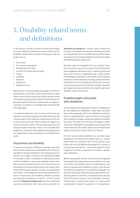# 3. Disability-related terms and definitions

In this section, we look at some of the key terminology as it both reflects and influences how we make sense of disability. Several factors influence the way we use language, such as:

- the context.
- the mood or atmosphere,
- feelings about the topic
- the level of comfort with the topic,
- history,
- traditions,
- literature,
- beliefs and
- linguistic norms.

When we hear or read something, we engage in a process of interpretation. We look for cues to interpret what is meant. These cues are often constructed around common sense assumptions and expectations about the world. We are not generally aware of these and consequently, not always in a position to question or challenge them (Garfinkel 1967, Fairclough 1995).

It is therefore important to be conscious of the terms we use when communicating about disability. We need to be critically aware of the potential implications of the use of various terms. We also need to look at the big picture, namely 'discourse', which is not just about grammar and words, but about meanings. A term, such as people with disabilities, can represent very different meanings and values, depending on how and by whom it is used (Chadwick 2000).

#### Impairment and disability

In section 4.2, we look at different meanings associated with the terms impairment and disability in the context of the different models of disability. The United Nations Convention on the Rights of Persons with Disabilities (CRPD), for example, is often considered as reflecting the social model of disability. It states that disability results 'from the interaction between persons with impairments and attitudinal and environmental barriers that hinders their full and effective participation in society on an equal basis with others'. In the Appendix, we have provided translations of 'impairment' and 'disability'. Wherever possible, we have used translations of Article 1 of this convention from http://www.linguee.com and more specifically, selected translations from documents available on

http://eur-lex.europa.eu. In France, Spain, Finland and Germany, for example, the words for disability are handicap, discapacidad, vamma and Behinderung and the words for incapacity are incapacité, deficiencia, toiminnanrajoite and Beeinträchtung, respectively.

We then asked for feedback from our national member associations about the accuracy of the translations. Some suggested alternative terms, explaining that they were more common or appropriate (e.g. in Spain, Greece, Poland, Belgium and Italy). In some cases, back-translation revealed an overlap between meanings and the existence of additional terms. According to Knoll (2012), confusion and controversies over the distinction between disability and impairment also exist within the disability rights and disability studies movements.

#### Disabled people and people with disabilities:

Similar disagreement exists about the terms 'disabled people' and 'people with disabilities'. People often use these terms interchangeably. Within the disability movement, the term 'disabled person' is quite common and associated with a political message, namely that people are disabled by society. This takes the main focus off people's impairments and challenges the assumption that people with impairments are 'the problem' (Morris 2001). Perhaps it also implies that they are 'passive victims' of society.

The term 'person with disabilities', on the other hand, emphasises something that people have (i.e. "impairments which in interaction with various barriers may hinder their full and effective participation in society on an equal basis with others" – just as they might also have a degree in chemistry, brown hair, an interest in gardening or dementia).

Whilst many people use the two terms interchangeably, some people and organisations have a preference for one or the other. One possible reason for preferring the term person or people with disabilities is that it puts the person before the disability. Such 'people-first-language', it is claimed, helps avoid dehumanising people. Rather than reducing them to a condition, it emphasises that they are first and foremost a person. This is somewhat similar to using the term 'a person who stutters' or 'a person with schizophrenia' instead of 'a stutterer' or 'a schizophrenic'.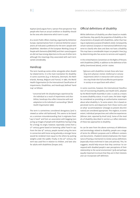Kapitan (2017) argues from a 'person-first-perspective' that people who have an actual condition or disability should be the ones who determine which term is used.

At a recent Public Affairs meeting, organised by Alzheimer Europe, representatives from 17 national Alzheimer associations all indicated a preference for the term 'people with disabilities'. Members of the European Working Group of People with Dementia (EWGPWD) and their carers/supporters did not have strong objections to the use of either term although the meanings they associated with each term varied considerably.

#### Handicap

The term handicap exists either alongside other disability-related terms. It is the main translation for disability in some countries (e.g. in Romania, Denmark, the Netherlands, Norway, Belgium and France). In 1980, the World Health Organisation (in the International Classification of Impairments, Disabilities, and Handicaps) defined 'handicap' as follows:

*"concerned with the disadvantages experienced by the individual as a result of impairments and disabilities; handicaps thus reflect interaction with and adaptation to the individual's surroundings" (World Health Organisation 1980).*

The term is sometimes considered derogatory (and is viewed as rather old-fashioned). This seems to be based on a common misunderstanding that it originates from "cap in hand" and from an association with begging (conjuring up images of people with disabilities having to beg for a living). Its origin, however, reportedly comes from a 17<sup>th</sup> century game based on bartering called 'hand in cap'. From the late 19<sup>th</sup> century, people started using the term in connection with horse racing whereby a stronger horse would be rendered more equal to the others by putting weights under the saddle. Finally, in the 20<sup>th</sup> century, the term was used first in relation to children, and later also for adults with disabilities (Snopes 2011).

#### Official definitions of disability

Whilst definitions of disability are often based on models and theories, they specify the properties of disability or the characteristics of people with disabilities, rather than having an explanatory purpose (Chadwick 2000). Consequently, certain national, European or international definitions may serve to classify who does and does not have a disability. This may have a considerable impact on people's lives (e.g. by determining who has access to services and support).

In the United Nations Convention on the Rights of Persons with Disabilities (CRPD), in addition to the definition of disability (mentioned above), article 1 states:

*"(p)ersons with disabilities include those who have long-term physical, mental, intellectual or sensory impairments which in interaction with various bar*riers may hinder their full and effective participation *in society on an equal basis with others".*

In some countries, however, the International Classification of Functioning Disability and Health (ICF), adopted by the World Health Assembly in 2001, is used as a means to assess disability status. In such cases, the latter might be considered as providing an authoritative statement about what disability is. To some extent, this is based on perceived norms and departures from those norms and on what 'accommodations' (changes to prevent discrimination) are considered appropriate. This neglects, to some extent, individual perspectives and collective experiences (Altman 2001, reported by Knoll 2012). Some of the models of disability described in section 4.2 reflect elements of these two approaches to disability.

As can be seen from the above summary of definitions and terminology related to disability, people use a range of terms for different purposes and in different contexts and documents. Chadwick (2000) emphasises the importance of having a mechanism to review various definitions (especially those enshrined in laws and policies). This, he suggests, would help ensure that they continue 'to correspond with disabled people's own perceptions of their relationship to the social environment' (p.8) and perhaps equally important to ensure that they are in their interests and can incorporate self-definition.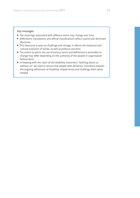#### Key messages

- $\bullet$  The meanings associated with different terms may change over time.
- Definitions, translations and official classifications reflect a particular dominant discourse.
- This discourse is open to challenge and change; it reflects the historical and cultural evolution of words, as well as political concerns.
- The extent to which the use of various terms and definitions is amenable to change may differ depending on the authority of the people or organisation behind them.
- In keeping with the claim of the disability movement "Nothing about us without us", we need to ensure that people with dementia contribute towards the ongoing refinement of disability-related terms and challenge them when needed.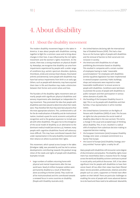# 4. About disability

## 4.1 About the disability movement

The modern disability movement began in the 1960s in America. It was about people with disabilities coming together to fight for a common cause and to bring about changes in their lives. It was influenced by the civil rights movement and the women's rights movement. At the outset, there was a strong emphasis on physical disability. Nowadays, we recognise that disability can arise from impairments experienced by people with a wider range of conditions (e.g. autistic spectrum disorders, dyslexia, thrombosis, stroke and coronary heart disease, rheumatoid arthritis and dementia). Some people with disabilities may have had various impairments from birth or an early age. Others, such as people with dementia, may have acquired them later in life and therefore may make a distinction between their former and current selves and lives.

The founders of the disability rights movement were primarily people with significant physical disabilities and sensory impairments who developed an independent living movement. They promoted the idea that people with disabilities were best placed to determine what their needs were. They therefore felt that they were best placed to find the most appropriate solutions. This, combined with a call for the de-medicalisation of disability and de-institutionalisation, involved a quest for social, economic and political recognition and to the gradual expansion to include people with other disabilities. This gave rise to the emergence of the social model of disability as an alternative to the dominant medical model (see section 4.2). However, many people with cognitive disabilities found self-advocacy more difficult. This may have contributed towards their under-representation in the early disability movement and their reliance on others to promote their rights.

This movement, which spread across Europe in the 1980s (Driedgner 1989), was preceded by and has led to various developments contributing towards the gradual recognition of the needs and rights of people with disabilities. Examples include:

 large numbers of soldiers returning home with physical and mental impairments after the two world wars. Nearly 8 million European soldiers were permanently disabled as a result of World War 1 alone according to Kitchen (2000). They could not all be institutionalised and this contributed towards a renewed focus in some countries on disability (People with Disability Australia 2017);

- the United Nations declaring 1981 the International Year of Disabled Persons (IYDP). This had a clear focus on the human rights of people with disabilities and the removal of barriers to their social and civic inclusion in society;
- the Americans with Disabilities Act of 1990 prohibiting discrimination based on disability. This resulted in companies with a certain number of employees having to make "reasonable accommodations" for employees with disabilities (similar equalities legislation has been implemented in several European countries). Public buildings, shops and restaurants were required to make 'reasonable modifications' to ensure access to people with disabilities. Conditions were laid down to promote the access of people with disabilities to public transport and their participation in various others domains of public life;
- the founding of the European Disability Forum in 1997. This is run by people with disabilities and their families. It has representation in all EU member states;
- the United Nations Convention on the Rights of Persons with Disabilities (CRPD) of 2006. This focuses on rights but also promotes the social model of disability (described in the next section). This led to a change in the usual and accepted ways of thinking about disability. This, in turn, resulted in a radical shift of emphasis from substitute decision making to supported decision making;
- the European Commission (2010) European Disability Strategy 2010–2020: a renewed commitment to a barrier-free Europe;
- the Council of Europe (2017) Disability Strategy 2017-2023 entitled "human rights: a reality for all".

Many people with disabilities still encounter some degree of discrimination and prejudice. The disability rights movement has nevertheless been a massive force for change across the world and disability activism continues to prevail in social policy and political discourses. Still, it has taken significant time for people with disabilities to have their voices heard. All too often their views have been filtered down. Service providers, professionals, relatives and other people such as carers, supporters or friends have often spoken on their behalf. There are particular challenges to enabling the voice of people with more advanced dementia to be heard and these need to be addressed. Meanwhile,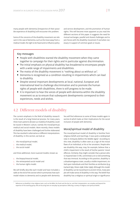many people with dementia (irrespective of their possible experience of disability) still encounter this problem.

Some of the concerns of the disability movement are relevant in the case of dementia, such as the move away from a medical model, the right to be heard and to influence policy

and service development, and the promotion of human rights. This will become more apparent as you read the different sections of this paper. It suggests the need for mutual exchanges, parallel and shared challenges and to join forces with the disability movement if and when necessary in support of common goals or issues.

#### Key messages

- People with disabilities started the disability movement when they came together to campaign for their rights and in particular against discrimination.
- The initial emphasis on physical disability has broadened to encompass people with a wide range of impairments and disabilities.
- The motto of the disability movement is "nothing about us without us".
- Dementia is recognised as a condition resulting in impairments which can lead to disability.
- Despite several important developments at local, national, European and international level to challenge discrimination and to promote the human rights of people with disabilities, there is still progress to be made.
- It is important to hear the voices of people with dementia within the disability movement so as to ensure that subsequent developments correspond to their experiences, needs and wishes.

## 4.2 Different models of disability

The current emphasis in the field of disability research is the result of a long historical process. For many years, three main patterns (known as models) of disability could be traced in Western culture, namely the moral/spiritual, medical and social models. More recently, these models of disability have been challenged and further elaborated. This has resulted in alternative or different interpretations of disability. In this section, we look at:

- 1. the moral/spiritual model,
- 2. the medical model,
- 3. the social model

and three additional, more nuanced models, known as:

- 4. the biopsychosocial model,
- 5. the reinterpreted social model and
- 6. the human rights model.

We will briefly describe each model and have included a table at the end of the section which summarises how each model relates to dementia and to people with dementia. You will find references to some of these models again in section 8 which looks at their implications for the social inclusion of people with dementia.

#### Moral/spiritual model of disability

The moral/spiritual model of disability is familiar from religious beliefs and teachings. It was quite a widespread view in Antiquity (before the Middle Ages)<sup>2</sup>. According to this view, disability is often seen as a sign of the moral flaws of an individual, or his or her ancestors. People who see disability this way, may, for example, believe that a child's impairment is the result of his/her parents' moral offences. Similarly, they might consider that a person who is impaired later in life, committed a sin or did something that was immoral. According to this position, disability is a disadvantageous state, usually a visible impairment, visited upon individuals and their families as retribution (e.g. Garland 1995, Silvers 1998, Stiker 1999). Although this model of disability can be traced back to ancient times, many people still make sense of disability in this way. The belief that disability has a religious or spiritual origin or significance

2 References to disability in key religious texts, such as the Bible, the Torah and the Qur'an, and their interpretation, are complex and beyond the expertise of this working group. We are focusing here on everyday lay perceptions reflecting a variety of religious and spiritual beliefs.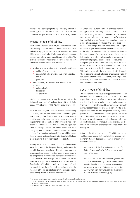may also help some people to cope with any difficulties they might encounter. Some view disability as positive difference and gain inner strength from those very beliefs.

#### Medical model of disability

From the 18th century onwards, disability started to be explained by scientific methods, and to be reduced to an individual's physiological or mental 'deficiencies'. Disability became 'medicalised'3 , alongside other phenomena such as alcoholism, homosexuality and criminality<sup>4</sup>. The expression 'medical model of disability' has become common shorthand for a one-sided view which:

- attributes the cause of an individual's deficits either to
	- $\Box$  bad luck (e.g. accidents).
	- $\Box$  inadequate health practices (e.g. smoking or bad diet) or
	- $\Box$  genes, and
- views disability as the inevitable product of the individual's
- $\Box$  biological defects.
- illnesses or
- $\Box$  characteristics.

Disability becomes a personal tragedy that results from the individual's pathological<sup>5</sup> condition (Barnes, Mercer & Shakespeare 1999, Oliver 1990, 1996, Priestley 2003, Silvers 1998).

Since the late 1960s, this one-sided medical understanding of disability has been fiercely criticised. It has been argued that it portrays disability in a biased manner that leads to practices and social arrangements that oppress people with impairments. It also results in interventions aimed solely at the 'abnormal' individual, with the surrounding environment not being considered. Resources are not directed at changing the environment but rather at ways to 'improve' or 'repair' the impaired individual. This, it could be argued, leads to a social and moral marginalisation of disabled people, preventing their full participation in society.

The way we understand and explain a phenomenon such as disability affects the things we do to try and remove the possible hardships associated with it. A certain view and understanding makes only certain kinds of responses and actions possible. In other words, if the cause of impairment and disability is seen to be spiritual, it is only natural to fix the issue with spiritual manoeuvres, such as exorcism and faith healing. If disability is understood in terms of medical knowledge and is conflated with impairment, then the reasonable thing to do is to focus on improving a person's condition by means of medical interventions.

An unfortunate outcome of both of these individualistic approaches to disability has been paternalism. This involves making decisions on behalf of others for what is assumed to be their own good, even if this is contrary to their wishes. Paternalism can also be seen as a kind of expert system whereby the authorities of the relevant knowledge and craft determine how the phenomenon in question should be understood and handled. In the religious framework, the clergy are considered to be in possession of the truth; in the medical discourse, it is doctors and other professionals. In both cases, the autonomy of people with disabilities has frequently been trampled upon. They have become mere passive recipients of the benevolent assistance provided by professionals and other believers of the dominant disability discourse. This has been especially the case for people with dementia. The corresponding medical model of dementia typically focuses on the workings of the brain, over-emphasises incapacity and leaves little room for the voice of people with dementia to be heard.

#### Social model of disability

The deficiencies of individualistic approaches to disability seem quite clear. The emergence of a social understanding of disability has therefore been a welcome change to the disability discourse and to institutional responses to the lives of people with disabilities. Nowadays, it is widely acknowledged that disability is not merely a matter of biological impairment but also, and perhaps primarily, a social phenomenon. Disablement cannot be explained and understood simply in terms of people's impairment but, rather, in terms of social arrangements. In other words, it is not only individuals and their alleged incapacities that explain the limited opportunities of people with impairments but society too.

In Europe, the British social model of disability is the most well-known conceptualisation of disability as a social phenomenon. It clearly distinguishes between impairment and disability, whereby:

*impairment is defined as 'lacking all or part of a limb, or having a defective limb, organism or mechanism of the body',*

disability is defined as 'the disadvantage or restric*tion of activity caused by a contemporary social organisation which takes little or no account of people who have physical [sic] impairments and thus excludes them from participation in the mainstream of social activities' (Oliver 1996, p.22).*

A process whereby people and societies are explained increasingly in medical terms.

<sup>4</sup> The authors are merely reporting here historical changes of perceptions and not implying agreement with this way of understanding homosexuality, criminality or alcoholism.

<sup>5</sup> Something that is caused by a physical or mental disease.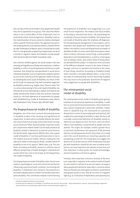The core idea of the social model is that people with disabilities are an oppressed social group. Their assumed inferior status is not a natural effect of their impairment, but it is produced by unjust social arrangements. Disability is seen as the material product of socio-economic relations developed within a specific historical context. This approach focuses on the disabling barriers and material relations of power (Priestley 1998, Shakespeare & Watson 2001). It should also be noted that it is now generally accepted that impairments can be of a mental or cognitive nature and therefore include people with dementia (Mental Health Foundation 2015).

One criticism levelled against the social model is the role, meaning and significance of body and impairment. It defines disability as a form of social oppression and hence as a phenomenon that should be conceptualised in social terms. Individual properties, such as impairments related to dementia, are not the main focus of this approach. Rather, it focuses on analysing the social causes of disability. As a result, in Britain the study of impairment has been somewhat neglected by disability scholars (e.g. Hughes 2002, Thomas 2002). This is a serious shortcoming in the social model of disability. Any theoretical account attempting to explain and theorise disability satisfactorily needs to take into account corporeal<sup>6</sup> issues (i.e. the lived experience of impairments for people with disabilities) (e.g. Corker & Shakespeare 2002, Morris 1991,Shakespeare 2014, Thomas 1999, Wendell 1996).

#### The biopsychosocial model of disability

Altogether, one of the most constant and pressing issues in disability studies is the meaning and significance of impairment. To what extent are bodily features the essential nature of the human body and to what extent are they social constructs? What would be proper responses to people's impairment-related needs? Can we really attribute all disability related to dementia to external social factors? The World Health Organisation (WHO) claims that a good model of disability is "one that synthesizes what is true in the medical and social models, without making the mistake each makes in reducing the whole, complex notion of disability to one of its aspects" (WHO 2002, p.9). This synthesis, according to the WHO, results in a coherent view of different perspectives of health (biological, individual and social), which has come to be known as the biopsychosocial model of disability.

This biopsychosocial model of disability takes into account medical, psychological, social and environmental factors influencing a particular health condition, functioning and disability. It emphasises that everyone may experience a decrement (deterioration) in health and thereby experience some disability. This contributes towards mainstreaming

the experience of disability<sup>7</sup> and recognising it as a universal human experience. The medical and social models, in focusing on one particular factor, risk overlooking the complexity of issues related to disability. The biopsychosocial model of disability takes the emphasis off diagnoses for the planning and management of any support, care or treatment that people with disabilities may need. Nevertheless, the medical, social and biopsychosocial models of disability all reflect to some extent fixed assumptions about what is ordinary, abnormal, normal living, a social problem, dependence and interdependence, as well as certain goals, such as being a citizen, and certain states of being which are desirable (Smith 2009). It is important to be conscious of the difference between normal in the sense of what is average, common or standard and normal in the sense of how things *should* be. According to Chadwick (2000), when normality is formally defined, there is a risk of the two ways of understanding 'normal' becoming muddled. This may result in the systematic attachment of negative value judgements to people with disabilities.

#### The reinterpreted social model of disability

The reinterpreted social model of disability gives greater emphasis to the personal experience of disability, in addition to social and environmental factors. This includes the way a person experiences a particular condition, impairment or disability (e.g. not necessarily as a personal disaster but in terms of personal growth and spiritual, philosophical or psychological benefits). It takes the focus off a socially constructed definition of disability, based on deficiency and departure from the norm, onto one which reflects how disability is experienced by people with disabilities. This might, for example, involve a greater focus on personal achievements, the enjoyment of life, personal identity and self-awareness (Smith 2009, Swain et al. 2003), and in the case of dementia on remaining capacities and just getting on with life. This model does not suggest the absence of social barriers but rather emphasises that people with disabilities should be the ones to define which barriers are most important and relevant to their lives and their objectives. In other words, the model acknowledges personal experience and human agency.

Similarly, there have been criticisms recently of the term 'care', especially in response to the medical model of disability and a desire to reframe it as just one aspect of support. Many people with dementia, especially in countries where there are limited care and support provisions, would like to have greater access to care. They do not see it in a negative light (e.g. as a indication of dependency and passivity) but

<sup>6</sup> Literally, the physical existence of something.

<sup>7</sup> Ensuring that the experience of disability is considered and central to all activities – policy development, research, advocacy/dialogue, legislation, resource allocation and planning, implementation and monitoring of support etc.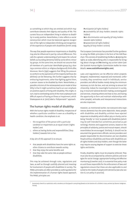as something to which they are entitled and which may contribute towards their dignity and quality of life. The current focus on independent living in relation to disability is surely positive. Nevertheless, it also reflects a social construction which must be balanced against recognition of the right to independent thinking and recognition of the experience of people with disabilities (Smith 2009).

The way that people experience impairments or disability may also be influenced in part by cultural differences. This calls for a greater understanding of and respect for cultural beliefs surrounding dementia held by some ethnic minority groups. At the same time, we should not assume that all members of a particular identifiable group (e.g. sharing a common ethnic or religious background) think alike. Moreover, Morris (1991) suggests that lifting the pressure to conform to the aspirations of the majority (without disabilities) can be liberating. She further suggests that by embracing impairments, rather than fighting against them, a person ceases to be disabled by them. Nevertheless, a possible criticism of the reinterpreted social model of disability is that it might sometimes lead to an over-emphasis on positive aspects of living with disability. This might, in turn, lead to overlooking some of the more unpleasant and difficult aspects of having an illness or impairment, which Shakespeare et al. (2017) label a 'Pollyannaish'8 approach.

#### The human rights model of disability

With the human rights model of disability, irrespective of whether a particular condition is seen as a disability or health condition, the emphasis is on:

- 1. the recognition of the person with a particular condition or impairment as an equal citizen ('rights holder') and
- 2. others as having duties and responsibilities ('duty holders') towards him or her.

A key aim of this approach is to ensure:

- that people with disabilities have the same rights as other citizens to contribute towards society,
- that they enjoy the same benefits and
- that they take the same risks as people without disabilities.

This may be achieved through rules, regulations and laws, as well as through carefully planned and meaningful involvement of people with disabilities in society. The PANEL principles are often provided as useful guidance for the implementation of a human-rights based approach. The PANEL principles are:

**P***articipation (of rights holders)* **A***ccountability (of duty holders towards rights holders)* **N***on-discrimination and equality (of duty holders towards rights holders)* **E***mpowerment (of rights holders)*

**L***egality (of duty holders' actions)*

The European Commission has provided further guidance to using the PANEL principles in the form of the FAIR flowchart. This consists of establishing the **F**acts, **A**nalysing the rights at stake, **I**dentifying who is responsible for bringing about change and **R**eviewing any action taken (see the Scottish Human Rights Commission leaflet for more details: www.scottishhumanrights.com).

Laws and regulations can be effective when properly designed, implemented, respected and monitored. Unfortunately, they sometimes result in individuals, service providers and official bodies merely doing the minimum necessary to tick the box, and not striving to ensure full citizenship. Indeed, for meaningful involvement in society (e.g. in local and national decision making, accessing good and services, choosing where and how to live, and having the opportunity to form and maintain relationships with other people), attitudes and interpersonal interactions are also important.

However, as mentioned earlier, not everyone who experiences dementia has the same objectives. Many people with disabilities and disability activists have rejected responses to disability which reflect pity or charity and to being 'friendly' or 'nice' to people with disabilities (which may be well intended but sometimes perceived as patronising). Positive and supportive actions, based on the principles of solidarity, justice and mutual respect, should nevertheless be encouraged. Similarly, it should not be assumed that government officials, service providers and people responsible for discrimination are non disabled. People without disabilities and those with disabilities are all rights holders and duty holders, even though the latter may require varying degrees of support to exercise those rights and duties.

Finally, disability rights must be properly enforced. They must also be accompanied by coherent policies and strategies for social change, appropriate funding and effective monitoring (Crowther 2017). It is essential that policy makers and those responsible for the enforcement of laws and regulations ensure that these are also applicable to and suited to the needs of people with dementia (see also section 6.2 on policy in practice).

<sup>8</sup> Excessively cheerful or optimistic with a tendency to find good in everything (based on the heroine of a children's story written by Eleanor Hodgman Porter).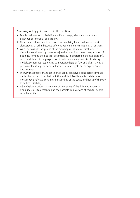#### Summary of key points raised in this section

- People make sense of disability in different ways, which are sometimes described as "models" of disability.
- These models have developed over time in a fairly linear fashion but exist alongside each other because different people find meaning in each of them.
- With the possible exceptions of the moral/spiritual and medical model of disability (considered by many as pejorative or an inaccurate interpretation of disability forming the basis for potential abuse, oppression and exploitation), each model aims to be progressive. It builds on some elements of existing models, sometimes responding to a perceived gap or flaw and often having a particular focus (e.g. on societal barriers, human rights or the experience of impairment).
- The way that people make sense of disability can have a considerable impact on the lives of people with disabilities and their family and friends because most models reflect a certain understanding of the cause and hence of the way to address disability.
- Table 1 below provides an overview of how some of the different models of disability relate to dementia and the possible implications of each for people with dementia.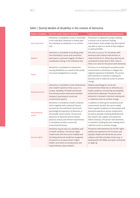| <b>Model of disability</b> | How the model relates to dementia                                                                                                                                                                                                                                                                                                                                                  | Implications for the person with dementia                                                                                                                                                                                                                                                                                                                                                                                 |
|----------------------------|------------------------------------------------------------------------------------------------------------------------------------------------------------------------------------------------------------------------------------------------------------------------------------------------------------------------------------------------------------------------------------|---------------------------------------------------------------------------------------------------------------------------------------------------------------------------------------------------------------------------------------------------------------------------------------------------------------------------------------------------------------------------------------------------------------------------|
| Moral/spiritual            | Dementia is considered a curse or moral flaw<br>in the individual. Dementia is visited upon<br>the individual as retribution or as a divine<br>test.                                                                                                                                                                                                                               | The person is subjected to prayer, seeking<br>a miracle cure or spiritual 'healing'<br>interventions. Some people may feel inspired<br>and able to cope as a result of their religious<br>or spiritual beliefs.                                                                                                                                                                                                           |
| Medical                    | Dementia is considered as resulting solely<br>from biomedical causes and sometimes<br>perceived as a personal tragedy. The flaw is<br>considered as being in the individual only.                                                                                                                                                                                                  | This aims to cure or 'fix' the person with<br>dementia with medical interventions or<br>make him/her fit in. Others (e.g. doctors) are<br>considered to know what is best. There is<br>little or no voice for the person with dementia.                                                                                                                                                                                   |
| <b>Social</b>              | Dementia is considered an impairment<br>causing disabilities as a result of the social/<br>structural arrangements in society.                                                                                                                                                                                                                                                     | The focus is on altering the social/structural<br>environments to eliminate or mitigate the<br>negative experience of disability. The person<br>with dementia is involved in leading the<br>decisions and in collective action to achieve<br>change.                                                                                                                                                                      |
| Biopsychosocial            | Dementia is considered a multi-dimensional<br>and a health experience that occurs in a<br>context. Disability, ill-health and human<br>functioning involve interactions between<br>biological, psychological, social and<br>environmental aspects.                                                                                                                                 | Medical, psychological, social and<br>environmental influences on dementia as a<br>health condition, functioning and disability<br>should all be addressed. The person with<br>dementia is involved in decision making and<br>in collective action to achieve change.                                                                                                                                                     |
| Reinterpreted<br>social    | Dementia is considered a health condition,<br>which together with contextual factors,<br>accounts for the individual's (social and<br>psychological) experience of dementia in<br>the broader social context. The personal<br>experience of dementia (and of related<br>physical, sensory and mental impairments)<br>is considered as well as social and<br>environmental factors. | In addition to altering the social/structural<br>environments (as with the social model),<br>there is greater emphasis on how people with<br>dementia experience various impairments<br>(as well as possible resulting disability) and<br>also require care, support and protection<br>where necessary. The person with dementia<br>is involved in leading decision making and in<br>collective action to achieve change. |
| <b>Human rights</b>        | Dementia may be seen as a disability and/<br>or health condition. The human rights<br>model works with the social model(s) and<br>the biopsychosocial model but recognises<br>the person as an equal citizen ('rights<br>holder') and others as having duties and<br>responsibilities ('duty holders').                                                                            | The person with dementia has his/her rights<br>upheld and experiences full inclusion and<br>equality. People with dementia are active<br>subjects and fully included citizens (e.g. in<br>keeping with the PANEL principles mentioned<br>on page 14).                                                                                                                                                                     |

## Table 1: (Some) Models of disability in the context of dementia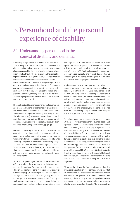# 5. Personhood and the personal experience of disability

## 5.1 Understanding personhood in the context of disability and dementia

In everyday usage, 'person' is usually just another term for human being. It is used to distinguish us from inanimate objects, machines, plants, animals and 'spirits'. Discussions about personhood in relation to disability and dementia are pretty similar. They both tend to draw on the same philosophical theories. Having a disability (or an impairment or dementia) does not make someone any less a person than someone who doesn't. However, some philosophical theories of personhood suggest that there are different types and levels of personhood. Sometimes, they are presented in such a way that they may have a negative impact on people with disabilities, affecting the way they are perceived, how some people with disabilities feel about themselves and how they are treated.

Philosophers tend to emphasise mental traits such as consciousness and rationality as the most relevant criteria in the definition of personhood. But to most people these traits are not as important as bodily shape (e.g. looking like a human being). Moreover, animals, however intelligent they may be, are not considered to be persons while humans, including infants and people with severe cognitive impairments, are (Sapontzis 1987, pp.48–49).

Personhood is usually connected to the moral realm. The expression 'person' is generally understood as implying a specific moral status. A person, in a moral sense, is a being whose interests must be respected. When we consider what is morally acceptable or preferable, we are morally obliged to take into account what will promote dignity or demean, benefit or harm, satisfy or dissatisfy, and so on, any being that is a person and that is likely to be affected by our actions. In other words, a person is a being with moral and social rights.

Some philosophers argue that moral personhood has different levels, in the sense that some beings are more persons than others. They state that in a moral sense, children are not full persons in comparison with adults (Sapontzis 1987, p.50). For example, children have rights to life, against abuse, and so on, although they are denied rights to property, marriage and voting. Some of their rights, such as autonomy, may be less fully respected than the corresponding rights of adults. In some cases, they are not

held responsible for their actions. Similarly, it has been argued that some people, who are deemed to have very little in common with people in general, are 'non- persons' (Buchanan 1988). Such philosophical arguments are, at the very least, unhelpful and at most, deeply offensive and damaging to the dignity, wellbeing and, in some cases, even to the survival of people with dementia.

In philosophy, there are competing views about personhood but most accounts regard mental ability as a necessary condition. This includes being conscious of the world, thinking about it and seeking to understand it (see Peacocke & Gillett 1987). John Locke developed a new philosophical framework in Western philosophy for the pursuit of understanding and theorising about 'the person'. According to Locke, a person is "a thinking intelligent Being, that has reason and reflection, and can consider itself as itself, the same thinking thing in different times and places"(Locke 1975/1690, Bk. II, ch. 27, sec. 9).

The Lockean conception of personhood represents the ideas, attitudes or activities that are shared by most people and regarded as normal or conventional in Western philosophy. It is usually agreed in philosophy that personhood is a moral issue warranting reflection and debate. The lives of beings of this sort (i.e. of persons), it is argued, possess a great psychological unity because of their highly developed cognitive capabilities (e.g. linked to conceptual abilities, understanding, problem solving and rational decision-making). Their advanced mental abilities enable their past and future experiences to form a meaningful unity, a biographical life (Buchanan 1988, Parfit 1984). In this view, personhood coincides with a threshold of moral worth whereby all beings above a particular threshold are considered equally morally valuable (e.g. McMahan 2002, Singer 1993).

With regard to dementia, Post (2006), argues that this hypercognitive definition of personhood overvalues what are often termed the 'higher cognitive functions' by comparison with other qualities such as humour, kindness and generosity. These other qualities are equally important to a shared concept of humanity and are not compromised when someone has dementia. The hypercognitive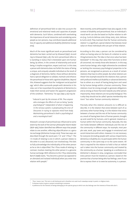definition of personhood fails to take into account the emotional and relational needs and capacities of people with dementia. Such failure, combined with overlooking the importance of social interaction and considering some people as non-persons, may contribute towards additional loss of capacity and additional disability (Alzheimer Europe 2013).

Much of the most significant work on personhood and dementia has been carried out by Kitwood (1997). According to Kitwood (1997, p.8), the term personhood refers to 'a standing or status that is bestowed upon one human being, by others, in the context of relationship and social being. It implies recognition, respect and trust'. In this view, a person with dementia does not forfeit the status of being a unique, and uniquely valuable individual as the result of a diagnosis of dementia. Rather, those without dementia have a special obligation to validate, maintain and enhance the personhood of those with cognitive disabilities. Beyond this, Kitwood suggests that the 'malignant social psychology' which often surrounds people with dementia in his view, can in fact exacerbate the symptoms of dementia (i.e. make them worse) and hasten the apparent progression of the condition. "Dementia," he says (1997, p.19) may be

*"induced in part by the stresses of life. Thus anyone*  who envisages the effects of care as being "purely *psychological" independent of what is happening in the nervous system, is perpetuating the error of Descartes in trying to separate mind from body. Maintaining personhood is both a psychological and a neurological task".*

Kitwood's concept of personhood was influenced to some extent by the work of the German philosopher Martin Buber (1878-1965). Buber identified two different ways that people relate to one another, reflecting objectification or a genuine exchange (Alzheimer Europe 2013). These two ways are described through the word pairs 'I-It' and 'I-Thou'9 . The I-It mode of relating is one in which a person relates to the other in a cool, distanced, non-involved way. This fails to fully acknowledge the individuality of the other person as he or she is objectified. The I-Thou mode of relating, in contrast, involves meeting the other person in a genuine human exchange. With reference to the I-Thou relationship, Barich (1998) states, "You become a person (as opposed to an alienated and isolated individual) when you enter into relation with people."

More recently, some philosophers have also argued, in the context of disability and personhood, that an individual's moral worth can also be based on his/her relation to others (e.g. Curtis & Vehmas 2016, Kittay 2005, 2010, Vehmas & Curtis 2017). They maintain that the 'human community relation' is a significant, special relation that bestows moral value on those individuals who are part of that relation.

According to this view, a person can be considered by others as having value on the basis of a relation to something/someone else. The idea is that once value has been bestowed<sup>10</sup> in this way, that value then functions to bind all concerned, not merely those who bestow it. In this way, some human beings, who might otherwise be considered as lacking the necessary psychological properties to be persons, are recognised as persons as a result of certain relations they have to other people. But what relations are these? One example would be the relations that a person with profound intellectual disability or advanced dementia has to others as a result of having being born and cared for by human beings within a human community. These relations must be strong enough to generate obligations and as strong as those that exist towards any other person. Importantly, these relations are not purely biological. This is why they should not be called 'species membership relations<sup>11</sup>' but rather 'human community relations'.

Precisely what this relation amounts to is difficult to describe. It is the relation that exists between each of us and every other human being. It is the relation that exists between a human and the rest of the human community as a result of having been born of human parents, brought up and cared for by humans, and in general, treated as a human within the human community. Naturally, the relation holds between different individuals and the rest of the community in different ways. For example, most people vote, work, pay taxes and engage in emotional and social interactions with others. However, it is not necessary for everyone (including people with various impairments, dementia or disability etc.) to participate within the human community in the same way or to the same extent. All that is required for the relation to hold is that an individual is taken into the human community and treated by the community as a human. Speaking at a conference on Alzheimer's disease in 2014, Longneaux concluded that every person must be treated as a person, based on the premise that a human being who has feelings, even if unable to express them or to exercise autonomy, is a person.

<sup>9</sup> 'Thou' means 'you'. This term is old-fashioned and is therefore not used much nowadays except in poetic or religious texts.

To bestow means to give or present something to someone

<sup>11</sup> A preference for the interests of beings belonging to the species group to which one also belongs over the interests of those who don't.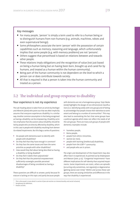#### Key messages

- For many people, 'person' is simply a term used to refer to a human being or to distinguish humans from non-humans (e.g. animals, machines, robots and even supernatural beings).
- Some philosophers associate the term 'person' with the possession of certain capabilities such as memory, reasoning and language, which unfortunately implies that some people (e.g. with memory problems) are not 'persons'.
- Others suggest that personhood is based on relations between and towards other people.
- These relations imply obligations and the recognition of value (not just based on being a human being but on having been born, brought up and cared for by humans, and treated as a human within the human community).
- Being part of the human community is not dependent on the level to which a person can or does contribute towards society.
- All that is required is that a person is taken into the human community and treated as a person.

### 5.2 The individual and group response to disability

#### Your experience is not my experience

The sub-heading above is taken from an article by Devlieger and Albrecht (2000) who point out that we often implicitly assume that everyone experiences disability in a similar way. Another common assumption is that being recognised as having a disability can be empowering. Disability activists emphasise that discussions about disability should be led by people who are directly affected by disability, which in this case is people with disability resulting from dementia-related impairments. But this begs a series of questions:

- Do people with dementia want to identify with people with disabilities?
- Do they feel that they have enough in common?
- Do they face the same issues and have the same priorities as people with other disabilities?
- How would they feel about being described as having a disability or being disabled?
- Do they feel it labels them pejoratively?
- Do they feel that the potential empowerment sufficiently outweighs possible perceived disadvantages of being considered as having a disability?

These questions are difficult to answer, partly because literature is lacking on this topic and partly because people

with dementia are not a homogeneous group. Tuija Takala (2009) highlights the danger of one-dimensional classifications (i.e. identifying solely with one group) and of failing to acknowledge that people choose their identities to some extent and belong to a number of communities<sup>12</sup>. This may also lead to overlooking the fact that some groups have a political agenda which does not reflect the needs of all the sub-groups. There are many sub-groups of people with dementia. Examples include:

- homeless people,
- Roma people,
- people from ethnic minorities,
- women (or men),
- people with learning (intellectual) disabilities,
- people from the LGBT+<sup>13</sup> community
- and people who are in prison.

The origin and development of the impairment may also affect how it is experienced. As pointed out by Shakespeare and Watson (2001, p.12), "Congenital impairments<sup>14</sup> have different implications for self-identity than acquired impairments. Some impairments are static, others are episodic (occurring only sometimes, not regularly) or degenerative (getting worse over time)." Within and across these subgroups, there are varying similarities and differences in the way that disability is experienced.

- <sup>13</sup> See glossary for definition.
- 14 Present at birth.

 $12$  This is discussed in more detail in section 8 (see sub-section on intersectionality and social inclusion).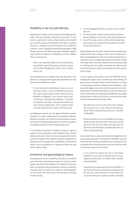#### Disability is not my sole identity

People have multiple, intersecting and overlapping identities. They may, therefore, find that at one point in time and in a particular context, they identify with disability and with people with disability, and that in another, they don't. Disability should therefore not be viewed as a person's sole or significant identity (Shakespeare 1996). People may also feel differently about disability depending on their perceptions of disability and who defines them as having one.

"There is an important difference in my associating *myself with a particular group and others giving me the label" (Shakespeare 2006, cited in Takala 2009, p.131).*

Not everyone wants to openly state that they have a disability or to advocate for people with disabilities. As one woman with disabilities stated:

*"I'm not interested in celebrating a status, or not celebrating a status. I am just interested in living my life. I don't have to have a banner that has to say, "disability is delightful." I don't have to have a banner that says, "being female is fabulous." I'm female. I'm disabled. Don't get in my way. Don't bother me. Don't deny me opportunity. That's my basic political view" (Adrienne Asch, cited in Kroll 2012, p.65).*

As Shakespeare points out, the goal of disability politics should be 'to make impairment and disability irrelevant whenever possible, not to seek out and celebrate a separatist notion of disability pride based on an ethnic conception of disability identity' (cited in Takala 2009, p.131).

It is therefore important to respect everyone's right to accept or refuse, partially or fully, disability as part of their identity. We need to hear the voice of people with dementia from all walks of life, identify common experiences of disability and see people with disabilities as individuals (rather than as caricatures of a group we think they represent, Takala, 2009).

#### Emotional and psychological impact

Accepting that one has a disability may have an emotional and sometimes psychological impact on a person. Some people may feel embarrassed or fear rejection or devaluation. Accepting or being labelled as having a disability may also have an impact on a person's autobiographical and social self and on their self-concept. According to Harré (2004):

- the autobiographical self is a person's story of who they are,
- the social self (or selves) consists of the qualities a person displays in encounters with other people and
- the self-concept consists of the beliefs people have about who they are (about their qualities, the kinds of lives they lead etc.).

Many people who live with dementia will already have experienced some change in their self-concept and in their autobiographical and social selves (sometimes in a positive sense, recognising qualities they didn't know they had). Some may have experienced social positioning (i.e. finding that their rights and duties are influenced by shared assumptions about what having dementia means) (Harré 2004).

In focus group discussions with the EWGPWD whilst drafting this report, some members described feelings of guilt, shame and anger linked to their experience of using or requesting services for people with disabilities. They described negative and even hostile reactions from other people which they felt were based on a lack of understanding of impairments and subsequent disabilities associated with dementia. Often such reactions seemed to be linked to their impairments not being visible.

- *"Like when you come out of the rest room and people look at you as if to say 'What are you doing in there? There's nothing wrong with you'" (member of EWGPWD).*
- *"Sometimes when she is in the 'disabled lane' in shops, people question why she is there. They say she should get out of that lane. She refuses but also does not think that she should have to explain about her condition" (carer/supporter).*

On the other hand, a clear theme, which emerged from the focus group discussion involving the EWGPWD, was that some felt that having a disability was considered more acceptable than having dementia and more likely to result in a positive response from others:

- *"I can't speak for anyone else, but in XXX being disabled is much more acceptable than having a diagnosis of dementia. It's a better label" (member of the EWGPWD).*
- *"I would feel very happy saying I have a disability. If I say I have dementia, you know, they are going to say 'oh God, she's mad' and kind of 'see you later!' but you know, when you're saying you have a disability*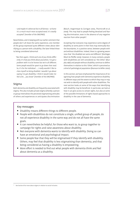Nevertheless, and in keeping with our earlier comment that people don't all share the same experience, one member of the group expressed quite different views about identifying as a person with a disability. She later linked these to being considered abnormal:

"But then again, I think each one of you thinks differ*ently. It's how you think about yourselves. I've got a problem with it to be honest but we're all different. Some people would be upset to go down that road. So, it's for the individual. …..I really wouldn't like to class myself as being disabled. I wouldn't go about saying I've got disability. I think it would make me feel a bit…. you know" (member of the EWGPWD).*

#### Stigma

Both dementia and disability are frequently associated with stigma. This also includes private stigma whereby a person or group internalises the perceived stigmatising attitudes of others and experiences or anticipates discrimination (Rüsch, Angermeyer & Corrigan 2005, Thornicroft et al. 2009). This may lead to people feeling devalued and fearing discrimination, even in the absence of any negative reaction from other people<sup>15</sup>.

Accepting that everyone may experience some degree of disability at some point in their lives may eventually blur the boundaries, in a positive sense, between people with and without disabilities. Indeed, there is a growing awareness that 'the disabled are same and different' (Devlieger, Rüsch & Pfeiffer 2003). However, in many contexts, people with disabilities are still considered as 'the Other' (Murphy 1987) and people without disability continue to define themselves in relation to this 'Other', which is perceived as a kind of pathological population (Branson & Miller 2002).

In this section, we have emphasised the importance of recognising how people with dementia experience disability in different ways and the extent to which they may or may not wish to identify with people with other disabilities. The next section looks at some of the ways that identifying with disability may be beneficial. In particular, we look at how it can give access to certain rights, but also at some of the possible limitations of rights-based approaches to disability in the case of dementia.

#### Key messages

- Disability means different things to different people.
- People with disabilities do not constitute a single, unified group of people, do not all experience disability in the same way and do not all have the same goals.
- It can nevertheless be helpful, for those who want to, to group together to campaign for rights and raise awareness about disability.
- Not everyone with dementia wants to identify with disability. Doing so can have an emotional and psychological impact.
- Some people fear that they will be stigmatised if they identify with disability. Others, may feel that disability is less stigmatising than dementia, and that being considered as having a disability is empowering.
- $\bullet$  More effort is needed to find out what people with dementia think and feel about dementia as a disability.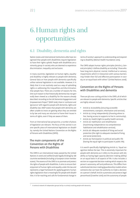# 6. Human rights and opportunities

## 6.1 Disability, dementia and rights

Nation states and international institutions alike have recognised that people with disabilities require legislation to have their rights upheld. People with disabilities are a minority group in society who are deemed to experience discrimination, inequality and exclusion.

In many countries, legislation on human rights, equality and disability is highly relevant to people with dementia. General data on how people with dementia specifically utilise national legislation is not available. However, it is likely that it is not routinely used as a way of upholding rights or addressing the inequalities and discrimination that people face. There are a number of reasons for this. One such reason is that historically dementia has not generally been viewed as a disability for the reasons already described. According to the UK Dementia Engagement and Empowerment Project<sup>16</sup> (DEEP 2016), there is 'confusion and ignorance' with regard to people with dementia, rights and disability law. DEEP states that people with dementia are often unable to insist on getting what they are entitled to by law and many are reluctant to frame their issues in terms of rights, even if they are aware of them.

From an international law perspective, a number of pieces of legislation are relevant. The focus of this section is on one specific piece of international legislation on disability, namely the United Nations Convention on the Rights of Persons with Disabilities (CRPD).

#### The main components of the Convention on the Rights of Persons with Disabilities

The CRPD is an international treaty passed by the United Nations in 2006 and ratified (made legally binding) by 168 countries worldwide (including 27 European Union member states). The essence of the CRPD is to promote and protect the rights of people with disabilities. It aims to ensure their enjoyment of human rights and equality under the law and represents a legal framework for applying generic human rights legislation that is meaningful for people with disabilities. It is far-reaching and calls for fundamental change in

terms of society's approach to understanding and responding to disability (Mental Health Foundation 2015).

The CRPD adopts human rights principles (Article 3, General principles). It defines disability as including "those who have long-term physical, mental, intellectual or sensory impairments which in interaction with various barriers may hinder their full and effective participation in society on an equal basis with others" (United Nations 2006).

#### Convention on the Rights of Persons with Disabilities and dementia

There are 38 cross-cutting articles in the CRPD, all of which are relevant to people with dementia. Specific articles that are highly relevant include:

- Article 9: Accessibility (ensuring accessible environments, transport, information and services),
- Article 19: Living independently (choosing where to live, having access to supports to live in community),
- Article 25: Health (right to quality health services),
- Article 26: Habilitation and rehabilitation (maximising independence via comprehensive habilitation and rehabilitation services),
- Article 28: Adequate standard of living and social protection (the right to adequate standard of living and social protection),
- Article 29: Participation in political and public life (having the equal right to participate in public life).

It is worth specifically highlighting Article 12, 'Equal recognition before the law'. This is extremely important for people with dementia as it refers to the person with disability as having legal capacity (decision-making ability) on an equal basis in all aspects of life. It also includes a section on supported decision making which respects the person's autonomy, will and preferences. This differs from substituted decision making/guardianship models where someone else can have the authority to make a decision on a person's behalf. Article 12 promotes and protects legal personhood (Crowther 2016) and the autonomy of people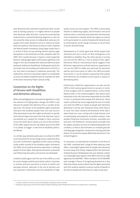with dementia who otherwise would have been considered as lacking capacity. It is highly relevant as people with dementia often find their 'autonomy automatically undermined or removed following diagnosis or who do not presently enjoy access to independent advocacy for support with major decisions such as in relation to heath, financial matters or their fitness to drive or travel'. However, the Mental Health Foundation (2015) paper states that it is unclear if there are any existing mental capacity legal frameworks in the world that are fully compliant with the CRPD. This is partly because it requires a total supported decision-making legal regime, which poses significant challenges in the case of people with advanced dementia (and profound intellectual disabilities). Shakespeare (2017) also concludes that the wording and implications of Article 12 are 'very hard to elucidate or implement practically'. The implications of Article 12 have been subject to considerable scrutiny and debate elsewhere (see for example the work of the Essex Autonomy Project (2014 & 2016)).

#### Convention on the Rights of Persons with Disabilities and dementia advocacy

While acknowledging that international legislation is only one element of bringing about change, the CRPD is very relevant for people with dementia from a number of perspectives. The history of the disability rights movement indicates that disabled people have not only successfully advocated to have their rights enshrined in a specific international legal instrument but that they have used it successfully as a catalyst for change in many countries across the world. Quinn (2009, p.2), one of the architects of the CRPD, argues that the real added-value of the CRPD is its ability to trigger 'a new kind of disability politics worldwide'.

In a similar way, dementia advocates can utilise the CRPD as an instrument for social change and as a potential advocacy tool. Furthermore, regardless of their status as being inside and/or outside of the disability rights movement, the CRPD can be used by dementia advocates in realising people's human rights, altering how dementia is perceived and influencing how policy and services are developed.

Crowther (2016) argues that the use of the CRPD as a tool for social change could be particularly useful in countries to achieve practical outcomes in access to health and everyday services, reduction in the use of restraint and anti-psychotic medication and the availability of high quality social care and support. The CRPD is particularly relevant to addressing stigma, discrimination and social isolation that is commonly associated with the lived experience of dementia. Crowther (2016) sees stigma as a barrier to the participation in society of people with dementia and to achieving the social change necessary to secure their inclusion and well-being.

Shakespeare et al. (2017) agree that whilst people with dementia will vary in terms of their willingness to be identified as disabled, they, like other groups in society, can still use the CRPD as a 'tool to advance their rights'. Dementia Alliance International (2016) suggests that Alzheimer organisations and self-advocacy organisations can use the CRPD to lobby and advocate for dementia policies and future plans to reflect the CRPD principles and articles. It can be utilised to guarantee that people with dementia are enabled to participate as equals in developing policy.

Furthermore, Alzheimer organisations can also use the CRPD to hold national governments to account, in terms of their progress with its implementation, to the United Nations (UN). In the United Kingdom, two reports were submitted to the UN Committee responsible for the CRPD in 2017, co-produced with people with dementia. These reports outlined key issues regarding the lack of compliance with the CRPD as it relates to people with dementia (Alzheimer's Society 2017, Dementia Policy Think Tank et al. 2017). The issues raised by the Dementia Think Tank's report (2017) are cross-cutting and include themes such as stereotyping and prejudice, accessible transport, independent living and community inclusion, accessible care and work. The Alzheimer's Society (2017) concludes that the stigma, prejudice and lack of understanding about the condition, as well as discrimination on multiple grounds including age and gender, compound an existing postcode lottery<sup>17</sup> of services for people affected by dementia in the United Kingdom. .

In conclusion, an international convention in the form of the CRPD, combined with a range of other advocacy tools, offers a meaningful opportunity for people with dementia to move away from being 'trapped within the dominant medical discourse' (Shakespeare 2017, p.4). However, using it in a meaningful way requires more effort and time as highlighted by the EWGPWD<sup>18</sup>. While members of the EWGPWD were strongly in favour of recognising dementia as a disability they raised concerns about how the rights associated with this could be realised in practice and be of benefit to the lives of people with dementia on a day-to-day basis.

<sup>&</sup>lt;sup>17</sup> A random variation of service access and availability according to where one lives.

<sup>18</sup> During focus group discussion with the whole European Working Group of People with Dementia on 14 May 2017 in Luxembourg.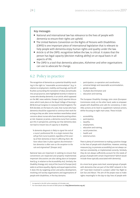#### Key messages

- National and international law has relevance to the lives of people with dementia to ensure their rights are upheld.
- The United Nations Convention on the Rights of Persons with Disabilities (CRPD) is one important piece of international legislation that is relevant to help people with dementia enjoy human rights and quality under the law.
- Article 12 of the CRPD, recognition before the law, is critical. It states that the person has legal capacity (decision making ability) on an equal basis in all aspects of life.
- The CRPD is a tool that dementia advocates, Alzheimer and other organisations can use to advocate for change.

### 6.2 Policy in practice

The recognition of dementia as a potential disability resulting in the right to "reasonable accommodation" (e.g. in relation to employment, mobility and housing), and the dif ficulties surrounding the translation of ideas and attitudes into actual practice, were highlighted recently in relation to nurses who develop dementia. In an article, which appeared on the BBC news website, Dreaper (2017) reported discussions which took place at the Royal College of Nursing's (RCN) Annual Congress in Liverpool (United Kingdom). The RCN decided, on the basis of a vote, that nurses who have dementia should be supported to continue their work for as long as they are able. Some members nevertheless raised concerns about nurses who have dementia putting others at risk. However, Jo James, a dementia nurse from London, put this in perspective, pointing out that dementia does not lead to instant loss of capacity or disability.

*"A dementia diagnosis is likely to signal the end of a nurse's professional life. In a single moment they will go from nurse to patient, regardless of the severity of their dementia or how it's affecting them. We have robust laws in place against discrimination –*  but dementia is often seen as the exception to the *rule and stigmatised" (Dreaper 2017).*

National laws are important in seeking to ensure that conventions are respected and properly implemented. Important discussions are also taking place at European level (e.g. in relation to the Accessibility Act). Similarly, the Disability Strategy 2017–2023 of the Council of Europe (2017) seeks to achieve equality, dignity and equal opportunities. It does this by targeting action and policy development, involving civil society organisations and organisations of people with disabilities, in five key domains:

- participation, co-operation and coordination,
- 2. universal design and reasonable accommodation,
- 3. gender equality,
- 4. multiple discrimination and
- 5. education and training.

The European Disability Strategy 2010–2020 (European Commission 2010), on the other hand, seeks to empower people with disabilities and calls for consistency. It identifies actions at EU level to supplement national actions, whilst focusing on eight main areas. These include:

- 1. accessibility,
- 2. participation,
- 3. equality,
- 4. employment,
- 5. education and training,
- 6. social protection,
- 7. health and
- 8. external action.

There is plenty of commitment to making a positive change in the lives of people with disabilities. However, existing measures (e.g. to promote accessibility) are not always carried out consistently, or implemented correctly. Similarly, they do not always sufficiently account for the needs of groups of people with certain impairments<sup>19</sup> (which would include those typically associated with dementia).

At a more local, grass roots level, several groups of people with dementia that are part of the DEEP network in the UK<sup>20</sup> have been involved in a project called 'Our Right to Get Out and About'. The aim of the project was to make rights meaningful in the day-to-day lives of people with

<sup>&</sup>lt;sup>19</sup> As reported in the EDF online newsletter of 8 October 2017

<sup>&</sup>lt;sup>20</sup> For more details about the work of DEEP, please see: http://dementiavoices.org.uk/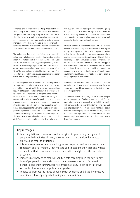dementia (and their carers/supporters). It focused on the accessibility of buses and trains for people with dementia, and getting a disabled car parking dispensation (known as the 'Blue Badge' scheme). The groups have engaged with public transport providers, and local and national government to lobby for changes in accessibility and information regarding transport that takes into account the cognitive impairments and disabilities that dementia can cause.

The social model/human rights principles have emerged in policy, specifically in relation to national dementia strategies, albeit in a limited number of countries. The second Scottish National Dementia Strategy (SNDS) made very explicit reference to human rights principles. These permeated not only the development but also the implementation of the SNDS. The Scottish Dementia Working Group was one of the key actors in contributing to the development of the policy which followed a rights based approach.

It is encouraging to see, in addition to high level guidance, strategies and even local initiatives, the recent development of fairly concrete guidelines and recommendations (e.g. linked to specific professions or work situations). Mental Health Europe, for example, has produced a toolkit on Article 27 of the United Nations Convention on the Rights of Persons with Disabilities (CRPD) to guide employers, human resource personnel, employment support services, and any other interested stakeholders, on how to apply a human rights-based approach to work and employment for people with psychosocial disabilities. At the same time, it is important to distinguish between a conditional right (e.g. the right to carry on working but not to put other people at risk) and an absolute right (e.g. the right to be treated

with dignity – which is not dependent on anything else). It may be difficult to achieve the right balance. There are likely to be strong differences of opinion but in a fair society, respect for everyone's rights, non-discrimination and respect for dignity must be key objectives.

Whatever support is available for people with disabilities must be available for people with dementia. So with regard to cognitive impairment, if this affects a person's ability to do things and be involved in society, reasonable adjustments must be made (e.g. to continue working). If that is not enough, a person must be entitled to financial support for loss of income. The two approaches to support, which may reflect and stem from different policies, must be coordinated. It would be unacceptable, for example, for a person to lose his or her job because of impairments resulting in disability and then not be considered eligible for appropriate benefit/support.

Similarly, protective measures for people with disabilities must also be applicable to people with dementia. The latter should not be considered an exception due to the nature of their impairments.

The need to translate ideals and goals into coordinated policies, with appropriate funding behind them and effective monitoring, is essential for people with disabilities. People with dementia should be entitled to the same type and level of protection, respect for human rights and social inclusion as other people with disabilities. Any policies or practices which promote or condone a different treatment of people with dementia must be based on ethically defensible grounds.

#### Key messages

- Laws, regulations, conventions and strategies etc. promoting the rights of people with disabilities all need, at some point, to be translated into actual practice and real-life situations.
- It is important to ensure that such rights are respected and implemented in a consistent and fair manner. They must take into account the needs and wishes of people with dementia and balance these with the rights of other members of society.
- Initiatives are needed to make disability rights meaningful in the day-to-day lives of people with dementia (and of their carers/supporters). People with dementia and their carers/supporters must play a key role in such initiatives and in the development of policies and guidance.
- Policies to promote the rights of people with dementia and disability must be coordinated, have appropriate funding and be monitored.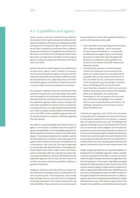### 6.3 Capabilities and agency

So far in section 6, we have considered issues related to the promotion of the rights of people with dementia who experience disability and issues surrounding the possible consequences of having such rights. In this sub-section we will look at disability and dementia from a different perspective, namely that of capabilities. We will base this discussion on the ideas of the philosopher Martha Nussbaum (2011), amongst others and reflect on the concept of agency in relation to people with dementia in the framework of the CRPD.

But first, what do we mean by agency and capabilities? In its broad sense, 'agency' means 'intention or consciousness of action [enacted by the agent], sometimes with the implication of possible choices between different actions' (Barnard and Spencer 2002, p.891). Boyle (2014), on the other hand, defines agency as the ability to initiate social action or at least influence one's own personal circumstances.

The concept of 'capability' stems from the theories of the economist Amartya Sen (in the early 1990s), which were later developed by the philosopher Martha Nussbaum (mentioned above). According to Harnacke (2013, p.769), "the capabilities approach views society as having to provide certain capabilities for everyone, which are substantive or real opportunities, at an appropriate threshold level for each." More concretely, Harnacke explains that frameworks such as the CRPD and the capabilities approach both aim for societal measures to empower individuals regarding their own abilities.

Very often it is assumed people with dementia have no agency. In this section, we explore how the concepts of agency and capabilities can be meaningfully applied to the specific experience of dementia. Indeed, as Eva Feder Kittay argued, "ensuring equal opportunity to people is admirable when people are in a position to take advantage of the opportunities on offer, but some who are disabled are not in this position" (2011, pp.55–56). This may be applicable to some people with dementia (due to the progression of the disease which often renders choice and empowerment increasingly difficult), especially for people with more advanced dementia. Hence, we will briefly review the capabilities approach and its limits, and then move on to consider new ways to extend the possibility of agency to people with dementia.

Nussbaum reminds us that these limits to inclusion are the fundamental challenges posed to philosophical theories of justice (2010). In her explanation, she provides three examples (case A, case B and case C) of adaptation of the legal framework to the needs of people with cognitive disabilities. These examples are structured around

the participation of a person with cognitive disability in a jury for a trial (Nussbaum 2010, p.88).

- Case A describes how the participation of the person with a cognitive disability – which could easily include a person with dementia – is achieved by providing external support (e.g. by summarising documents to make them easier for people with dementia to understand). Useful guidelines can be found on the website of the DEEP network (see references section).
- Case B describes a person in a similar situation in which the impairment is more severe but the person can 'communicate his or her preferences to a guardian, who can then exercise the function on his or her behalf'. Case B, as Nussbaum reminds us, is still 'conceptually' easy, even though it involves a series of challenges which must be overcome.
- Case C describes a situation in which communication between the guardian and the person with disability seems to be impossible. This is particularly interesting as it calls into question the very roots/ basis of inclusion and highlights some apparent limits to more conventional forms of inclusion. The challenge is perhaps for us to find ways to ensure equal citizenship for all.

In Nussbaum's argument, case C calls for the intervention of a guardian who is 'empowered to exercise the function on that person's behalf and in her interests', a measure often not taken (Nussbaum 2010, p.91). This highlights the apparent challenges to more conventional forms of inclusion. As we will see, these categories and the solutions proposed to ensure more equal citizenship are relevant to the issue of promoting the rights of people with dementia. Furthermore, we will see below that novel methods of communicating with people with dementia can enable them to be better heard and move towards greater autonomy and agency if they wish to, hence to move towards case A or B.

Indeed, recognising dementia as a potential disability, in keeping with the capabilities approach, makes it possible to access a framework which offers a structure to further enforce the rights of people with dementia, regardless of the level of impairment. In this respect, Toby Williamson (2015) describes the PANEL principles, in which the last letter of this acronym stands for legality of rights and the 'recognition of rights as legally enforceable entitlements' (Williamson 2015, p.12). Hence, raising awareness about the CRPD in relation to the rights of people with dementia enhances our ability to propose new and more appropriate possibilities for people with dementia to enact their rights as equal citizens. This includes their capabilities, as described by Nussbaum (2011).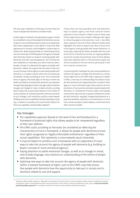The next step is therefore to find ways to ensure that the voices of people with dementia are better heard.

A wide range of methods and appropriate support should be considered to ensure that people with dementia can participate in and contribute towards society on an equal basis with others (addressed in more detail in Section 8). New approaches to inclusion could enlighten us about ways to achieve this. Boyle (2014) provides an interesting practical case and novel way of thinking about the agency of people with dementia. Based on research involving people with dementia and their carers/supporters, she criticises the over-emphasis on rationality and claims that we need a broader concept to understand the agency of people with dementia. Indeed, she argues that we need to take into account the way in which agency is exercised by people with dementia in a creative manner which was not previously considered, namely by looking at more 'socio-emotional' forms of agency. She sheds light on the way in which the wishes and desires of people with dementia are expressed through body language as well as through subtle emotional changes and changes in mood. As Boyle reminds us (citing Morris 2005), this is particularly relevant in the context of various relations of 'assisted autonomy' which are sensitive to such changes. Such sensitivity could be a step towards ful filling some of the capabilities listed by Nussbaum (2011) (e.g. in relation to sexuality and consent which reflects the third core capability, namely bodily integrity<sup>21</sup>).

Clearly, there are many possible novel and alternative ways to explore agency and these could be further explored in future research. Indeed, some of these capabilities might present very complex challenges with regard to enhancing agency and autonomy. Case C, described above, appears to be one of them. Moreover, Boyle (2014) highlights the need to explore this idea of socio-emotional agency among people with severe dementia. In many ways, exploring the wishes of people with the most severe forms of dementia touches on ongoing debates around the concept of personhood. Some of these debates have been explored earlier in this discussion paper and will be considered in the next section, particularly in relation to person-centred care.

In presenting both challenges but also new possibilities to reinforce the agency of people with dementia in a framework of rights such as the CRPD, Boyle's approach is helpful. It offers a new way of understanding the wishes of people with dementia and supporting them to perform their agency in novel, alternative ways. More research and the promotion of more positive attitudes towards people with dementia, in a framework of human rights and equality, could further open the door to greater enablement of people with dementia. Arguably, recognising dementia as a potential disability could favour such discussions in situations, and for example in public debates, in which dementia often remains invisible.

#### Key messages

- The capabilities approach (based on the work of Sen and Nussbaum) is a framework of protected rights that allows people to be 'empowered regardless of their own abilities'.
- The CRPD could, according to Harnacke, be considered as reflecting the characteristics of such a framework. It allows for people with dementia to have their rights recognised as 'legally enforceable entitlements' regardless of their actual capabilities. This represents a move towards equal citizenship.
- It may be helpful to combine such a framework with an exploration of novel ways to take into account the agency of people with dementia (e.g. building on Boyle's concept of 'socio-emotional agency').
- Paying attention to subtle emotional changes, as well as to changes in mood, and to body language, may improve our understanding of the wishes of people with dementia.
- Exploring new ways to take into account the agency of people with dementia within a relevant framework of rights, such as the CRPD, may help ensure that people with dementia have the opportunity to take part in society and in decisions related to care and support.

21 "Nussbaum de nes bodily integrity as: 'Being able to move freely from place to place; to be secure against violent assault, including sexual assault and domestic violence; having opportunities for sexual satisfaction and for choice in matters of reproduction' (2011, p.33). See https://en.wikipedia. org/wiki/Capability\_approach for a complete list with the nine other central capabilities defined by Nussbaum.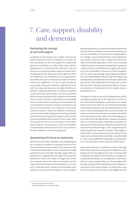# 7. Care, support, disability and dementia

#### Promoting the concept of care and support

In addition to discussing access to rights and equal recognition before the law, it is important to consider the level and quality of care and support for people with dementia. According to an OECD report (2015, cited by Shakespeare et al. 2017) dementia is still one of the conditions that receives the lowest quality of formal care in the developed world. This is particularly significant when we consider that a lot of informal care and support (which more often than not is essential) is provided by families, friends and neighbours. It is also a major concern for many people living with dementia, especially for those with more advanced dementia. We might therefore ask whether recognising dementia as a potential disability would lead to any improvement in the care and support (both informal and professional) of people with dementia. This is a matter of concern, especially if we acknowledge that the social model of disability, which developed out of the disability movement, promotes autonomy as one of its most central values. The concept of care has been criticised recently, in relation to dementia, as being too narrow and potentially leading to the framing of people with dementia as having certain needs of a more medical nature and rendering them passive. For this reason, wherever possible we refer to care and support in the broader sense. However, in certain places in this text, the debate is fundamentally about the provision of care and this is therefore reflected in the terminology used.

#### Questioning the focus on autonomy

Within the social model of disability, care and dependency do not appear as priorities. In a previous section of this discussion paper, we have looked at the importance that is attached to independence, both in daily life and in legal frameworks such as the CRPD. We fully support efforts to promote more independence and rights for people with dementia for whom care is often an integral part of their lives. However, due to the nature of dementia, and the range of impairments that are associated with it, it is essential to reconsider what it means to be dependent upon relations of care, whilst still being able to exercise agency. Recognising dementia as a potential disability should therefore also involve an attempt to reinstate the importance of care and the validity of certain forms of interdependency. For example, a person with dementia may be dependent upon his/her partner for care or support but the partner may be emotionally dependent on him or her. According to Boyle (2014), the concept of interdependency represents a departure from current definitions of agency which tend to be 'over-individualistic'. She points out that 'throughout our lives, all of us go through varying degrees of dependence and interdependence' (Boyle citing Tronto 1993, p.135). Interdependency therefore describes the way in which people are never fully independent and always rely in some ways on others. Taking this perspective allows us to question relations of 'dependence' and not consider these as problematic *per se*.

To explore this idea of care and interdependency, which may appear paradoxical<sup>22</sup> at first sight (in the context of the social model of disability), we will draw on Eva Feder Kittay's work on the 'ethics of care'. Kittay (2011) describes how taking relations of care and interdependence into account when developing theories of justice provides the means to achieve more autonomy for people with disabilities. The principle of justice reflects the moral obligation to act on the basis of fair adjudication<sup>23</sup> between competing claims. It is linked to fairness, entitlement and equality. An important principle of justice, proposed by Aristotle more than two thousand years ago, is that "equals should be treated equally and unequals unequally" Gillon (1994). In other words, in some situations (e.g. when a person has an impairment and experiences disability), it would be right to treat a person differently (unequally) as treating him/ her in the same way as others would actually be unfair.

Kittay draws attention to traditional schools of thought which take justice as a starting point for reflection on the position of the moral agent (in this case, the person with a disability). She explains that this results in a tendency to conceptualise this person as 'an independent, autonomous self who is equal, or potentially so, to all moral agents' (Kittay 2007, p.4) and calls for dependency to be reinstated as a central part of any human relation. For Kittay (2011), assistance is a resource, not a limitation. She suggests that the

Seemingly absurd or contradictory

<sup>&</sup>lt;sup>23</sup> Making a judgement on a disputed matter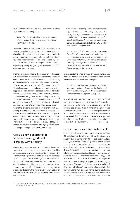relation of care, should be perceived as supportive, rather than paternalistic, adding that:

*"paternalism is the only alternative to autonomy when autonomy is the norm of all human interaction" (Kittay 2011, p.55).*

Therefore, if certain aspects of the social model of disability were to be applied to people with dementia experiencing disability, this might challenge the current over-emphasis on the importance of autonomy. It might also contribute towards a more nuanced understanding of disability. Such nuances are brought about through the re-evaluation of dependency and by recognising the validity of individual experiences of impairment.

During discussions linked to the preparation of this paper, a member of the EWGPWD emphasised the importance of such an approach to care. Based on her own understanding of care in dementia, she emphasised the need to distance herself from paternalism. Her use of certain terms in relation to her own experience of dementia such as 'requiring support' and 'care partner' are in keeping with this transformation of our understanding of care. A distinction was also made between being 'cared for' and 'caring about'. 'Caring for' sees the person with dementia as a passive recipient of care. 'Caring about' reflects a relationship that is dynamic and involves give and take, in which the person with dementia and the care partner interact in a relationship with each playing a 'caring' role. These roles such as husband, wife, partner or friend would have existed prior to the diagnosis of dementia. In this way, she emphasises equality in moral status and enablement as part of the construction of meaningful relations of care. This is echoed by Boyle (2014), in the context of 'assisted autonomy', who highlights the importance of promoting supportive relations of care.

#### Care as a new opportunity to improve the recognition of disability within society

Recognising the importance of the relation of care and support, and of the experience of impairment, provides an opportunity to improve the inclusion of people with dementia in all aspects of life. Indeed, Kittay (2011) explains that 'the scope of care extends beyond intimate relations' and 'can introduce new values into the public domain'. An ethics of care should therefore be a central part of any message to the public if dementia is to be recognised as a potential disability. The importance of a revaluation of the relation of care was also expressed by some people with dementia:

*"Care should be enabling, something that enhances my autonomy and allows me to participate in civil society, whilst promoting my dignity. For this to be possible, future therapists and healthcare professionals must be properly trained, and a more holistic, person-centred approach to both formal and informal care should be promoted.*

*For me personally, this would focus on meaningful activities (e.g. based on the arts and relaxation) and a reduction of psychoactive medication to regulate mood and anxiety. Such person-centred care can bring about improvement and better account for the wishes of people with dementia" (both extracts from a member of the EWGPWD).*

In contrast to the establishment of meaningful and enabling relations of care, Kittay highlights a certain set of behaviours that she considers unhelpful:

*"dependence may in various ways be socially constructed, and unjust and oppressive institutions and practices create many sorts of dependence that are unnecessary and stultifying24" (Kittay 2011).*

Instead, she argues in favour of 'cooperative, respectful, attentive relations' (2011, p.55). We can therefore conclude from these two statements, and from the statements in the previous section, that it is not sufficient to argue for care as a means to support independence, or to give too much importance to autonomy, as is sometimes the case in the social model of disability. Rather, it is essential to question the relation of care itself, and differentiate those relations of care that are disabling from those that are enabling.

#### Person-centred care and enablement

Person-centred care, which emerged from the work of Tom Kitwood, has been described as involving the tailoring of a person's care to his/her interests, abilities, history and personality (Alzheimer's Society, 2017). Indeed, person-centred care appears to be a valuable means to enable, or sustain as much as possible, the active involvement of people with dementia in decisions related to care. In this framework, relations of care are established in such a way as to overcome the impact of a 'malignant social psychology', which is associated with a process of 'othering' of the person with dementia following the progression of neurological impairment (Kitwood 1992). According to Kitwood (1992), this process of 'othering' creates and reinforces a distinction between *us* and *them,* jeopardising the experience of empathy between the person with dementia and his/her carer, but also between the person with dementia and the rest

<sup>&</sup>lt;sup>24</sup> As we understand it, the adjective 'stultifying' used in this quote characterises the way in which certain relations of dependence can be psychologically distressing.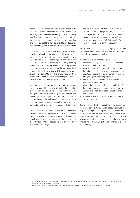of the world (see also section 5.2 on stigma). Indeed, in the context of a 'new culture of dementia care', Kitwood (1997) explicitly recommended considering dementia primarily as a disability. He suggested that how a person is affected by dementia depends crucially on the quality of care. Care and support should therefore be central to any discussion about the recognition of dementia as a potential disability.

Indeed, person-centred care could be seen as a step towards sustaining a broader 'ethics of care'<sup>25</sup> (an idea that we mentioned earlier in this section). As such, it could apply to many different types of care and support, regardless of who or with what means it is provided (Morris, 2001). Reducing the impact of otherness by reinforcing empathy towards people with dementia may therefore be a means to both promote the dignity of people with dementia and respect their human rights. Morris further argues<sup>26</sup> that an ethics of care should allow people to state their opinion and participate in decisions which affect their lives.

The 'ethics of care' debate has implications for formal/paid care for people with dementia. It also has direct implications for how paid carers are educated and trained. The recognition and promotion of agency as a concept and how that rolls out in practice in the formal care sector need exploration. This will undoubtedly give rise to ethical questions about the extent to which formal services set parameters on the enablement of people with dementia.

We also need to bear in mind criticisms that have been made about such concepts in relation to disability, which may be particularly relevant with regard to dementia. To broaden the discussion, we should examine in more depth a point made by Morris about participation in the provision of care (2001, p.15):

*"Whatever "care" is – whether it is in the form of formal services, cash payments, or personal relationships – if it does not enable people 'to state an opinion,' 'to participate in decisions which affect their lives,' and 'to share fully in the social life of their community,' then it will be unethical."*

Morris's statement, which rightfully highlights the importance of enabling choice, begs a series of questions about the limits of enablement, such as:

- What if such an emphasis were to lead to misunderstandings about the difference between ethical and unethical care?
- What about care which is simply performed to the best of a carer's ability, with due consideration for dignity and agency, but unsuccessfully (in terms of recognising and promoting agency)?
- Would the non-fulfilment of such objectives be perceived as unethical?
- What if the socio-economic context makes it difficult for both the carer/supporter and the person with dementia to establish an effective relation of care and support?
- Should these be considered unethical relations of care and support?

Some of these reflections about the social context have been considered by Gilleard and Higgs (2010) in relation to negative perceptions of impairments in later life and the impact this may have on care and support. We still have a lot of issues to explore but it is nevertheless clear that dependency and care/support should not be perceived as interfering with the recognition of dementia as a potential disability.

<sup>25</sup> Whilst we propose broadening the concept of care to include, or even focus on, support, the term "care" is occasionally used in isolation when referring to other people's work and ideas.

<sup>&</sup>lt;sup>26</sup> Drawing on statements from the first edition of "In from the cold" (1981) – "a liberation magazine for people with disabilities".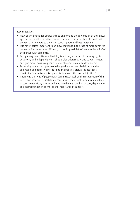#### Key messages

- New 'socio-emotional' approaches to agency and the exploration of these new approaches could be a better means to account for the wishes of people with dementia with regard to their own care, support and lives in general.
- It is nevertheless important to acknowledge that in the case of more advanced dementia it may be more difficult (but not impossible) to 'listen to the voice' of the person with dementia.
- Recognising dementia as a disability is not only a matter of claiming rights, autonomy and independence. It should also address care and support needs, and give more focus to a positive conceptualisation of interdependency.
- Promoting care may appear to challenge the idea that disabilities are the sole result of 'oppressive institutions and policies, prejudiced attitudes, discrimination, cultural misrepresentation, and other social injustices'.
- Improving the lives of people with dementia, as well as the recognition of their needs and associated disabilities, comes with the establishment of an 'ethics of care' to use Kittay's term, and a nuanced understanding of care, dependency and interdependency, as well as the importance of support.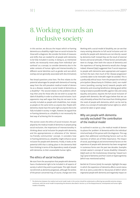# 8. Working towards an inclusive society

In this section, we discuss the impact which re-framing dementia as a disability might have on social inclusion for those with a diagnosis. We consider the kinds of measures and shifts that are needed for all people with dementia to be fully included in society. In doing so, as mentioned earlier, we necessarily move away from individual 'personhood' as a concept, to consider dementia also in the wider contexts of human rights and intersectionality (i.e. different social identities such as gender and race which overlap and are generally associated with discrimination).

Two broad questions arise here. The first relates to the potential advantages for people with dementia of moving away from the still-prevalent medical model of dementia as a disease, towards a social model of dementia as a disability<sup>27</sup>. The second relates to the problems which may then arise for those who do not wish to accept the label of disability in order to achieve social inclusion. Such opponents may well argue that they do not want to be socially included as people with disabilities, but simply as people on the same terms as anyone else. People with dementia clearly have the same right as anyone else to be fully included in society. It might, however, be argued that re-framing dementia as a disability is not necessarily the best way of achieving this for everyone.

This section covers the ethics of social inclusion, the part played by the medical model of dementia in perpetuating social exclusion, the importance of intersectionality in thinking about social inclusion for people with dementia, and the appropriateness or otherwise of the 'dementia-friendly communities' concept. It considers how re-framing dementia as a disability might enhance social inclusion for people with dementia. Finally, it looks at the potential shift that is taking place in the dementia field from thinking in terms of the dependency needs of people with dementia, to their unassailable human rights.

#### The ethics of social inclusion

We start from the assumption that people with dementia have a fundamental right to be included in all aspects of society in which they wish to participate. This right should not diminish as dementia progresses, although the wishes of the person concerned may, of course, change over time. Working with a social model of disability, we can see that many existing obstacles to full social inclusion and citizenship for people with dementia are not directly caused by dementia itself. Instead they are the result of external factors and social attitudes. If these factors and attitudes were to change, then both the nature of dementia and the experience of having dementia would also change. Indeed, Kitwood (1997) suggested that if social responses to people with dementia were appropriate and supportive from the start, then much of the 'disease progression' currently taken to be inevitable might be avoided. This is a profoundly ethical issue. From the perspective of ethical principalism (Beauchamp & Childress 2001), non-maleficence (avoiding causing harm) towards people with dementia and ensuring beneficence (doing good whilst trying to balance possible benefits against risks and costs), equality and justice, requires the full social inclusion of people with dementia. We will argue below that we can only ultimately achieve this if we move from thinking about the *needs* of people with dementia, which can be met by others, to a concept of inalienable human rights (i.e. which cannot be taken or given away).

#### Why are people with dementia socially excluded? The contribution of the medical model

As outlined in section 4.2, the medical model of dementia places the 'problem' of dementia within the individual mind and body of the person with the diagnosis. This suggests that additional contributing factors such as the reactions of others are of little importance. The impact of social, psychological and environmental factors on the experience of people with dementia has been recognised in numerous forms over the past two decades. Examples include Lawton's concept of 'excess disability', Kitwood's (1997) work on the involutionary (meaning 'inward turning') spiral of dementia and Post's work on hypercognitivity (which was mentioned earlier).

Bartlett & O'Connor (2010), for example, highlight the ways in which the experience of dementia affects social status. Birt et al. (2017, p.200) refer to 'discourses of deficit' which stigmatise people with dementia and negatively impact on

The distinction between the medical and social model made in this section should be understood as reflecting two possible extremes along a continuum, with the social model incorporating the elements described in Section 4.2 of the biopsychosocial, reinterpreted and human rights models of disability.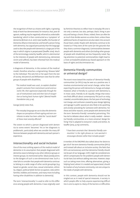the recognition of them as citizens with rights. A growing body of work has demonstrated, for instance, that, post-diagnosis, walking may be negatively reframed as undesirable 'wandering', which is then constructed as a 'symptom' of dementia (Brittain et al. 2017). Kate Swaffer, the founder of Dementia Alliance International, and herself a person living with dementia, has argued persuasively that the language used to describe people with dementia is a large part of the way in which stigma is perpetuated (Swaffer 2014). Much of the terminology noted by Swaffer, which is detrimental to the interests of people with dementia (e.g. demented, victim and sufferer), has been inherited from the medical model of dementia.

A diagnosis of dementia, in the context of the medical model, therefore attaches a stigmatising 'disease label' to the individual. This sets him or her apart from the rest of society. McGettrick and Williamson note that for other groups of people with disabilities,

*"The medical model was used…to explain disabled people's exclusion from mainstream social and economic life, their oppression (especially through the use of institutional care) and their lack of recognition as having basic human rights" (Mental Health Foundation 2015, p.14).*

George (2010) notes that,

*"The everyday language we use to describe dementia shapes our perceptions of brain ageing and even contributes to what has been called the "social death" of those most severely affected."* 

The extent to which a person diagnosed with dementia to some extent 'becomes' his or her diagnosis is problematic, particularly when we consider the many differences between people with dementia and each person's experience.

#### Intersectionality and social inclusion

One of the most striking aspects of the medical model of dementia is its assumption that people diagnosed with dementia cease to belong to any other reference groups or interest groups. As mentioned earlier, Takala (2009) points to the dangers of such a one-dimensional view. Such a view fails to consider that people with dementia continue to belong to a wide range of other social groupings (e.g. based on gender, social class, sexual orientation, ethnicity, religion, political belief, former occupation, roles within families, hobbies and interests, and many more including having other disabilities in addition to dementia).

The term 'intersectionality' is used to refer to this difference among people with dementia. It was originally used

by feminist theorists to reflect how in everyday life one is not only a woman, but also, perhaps, black, living in poverty and having a chronic illness. Indeed, there can often be as much that divides women as unites them, unless these additional facets of experience are also taken into account (Yuval-Davis 2006). People with dementia continue to be treated as if they were all the same (on the grounds that they share a common diagnosis). Commonalities between people with dementia and others (including other groups of people with disabilities) are less frequently noted. Paying attention to potential commonalities might lead to a more active/political/advocacy-based approach on the basis of rights and discrimination etc.

#### Dementia-friendly communities or universal design?

The recent move toward the creation of 'dementia-friendly communities' (or DFCs) may be seen as a positive one. It involves environmental and social change, rather than expecting the person with dementia to change and adapt. However, what is friendly to a person with dementia is, in most cases, friendly to all. Equally, things that everyone finds difficult about contemporary life (such as noisy, crowded, uncomfortable places, the fast pace of technological change, and confusion created by poor design lighting and signage in public spaces) are also likely to be upsetting and anxiety-provoking for someone with dementia. For these and other reasons, some people with dementia find the term 'dementia-friendly' somewhat patronising. This has led to debates about what is really needed – dementia-friendly communities, or a more universal 'design for living' that is adapted to everyone's needs and wishes. As Swaffer (2014, p.713) comments,

*"I have been uncertain that 'dementia-friendly communities' is the right phrase as I am worried it encourages division rather than includes people."*

A member of the EWGPWD also talked about her desire to 'get rid of' the term dementia-friendly communities (DFCs) and instead talk about an inclusive society. She feels that DFCs are exclusionary and that dementia-friendly should not be part of our language. A DFC might be considered one which compensates for the problems people with dementia do have, but without adding new ones. However, steps such as taking more time, offering alternatives, giving a helping hand, where it is needed and appreciated, should be markers of any humane community, not one unique to the needs of people with dementia.

In this context, people with dementia should not be singled out as in need of special measures. A society in which people offer to help anyone experiencing difficulties is one to aspire to. Many of the barriers or difficulties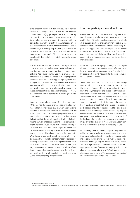experienced by people with dementia could also be experienced, in some way or to some extent, by other members of the community (e.g. getting lost, experiencing sensory overload, forgetting a name or address needed in order to complete an errand or appointment and not being able to find the right bus or train etc.). Reflecting on our own experiences of this nature may therefore be one of the best ways to develop empathy with people who have dementia. This should also foster social inclusion within mainstream communities. This is better than putting people with dementia in separate hermetically-sealed safe spaces.

At the same time, we need to find out what people with dementia experience as barriers to social inclusion and not simply assume that everyone finds the same things difficult. Age-friendly initiatives, for example, do not necessarily respond to the needs of many people with dementia (who are increasingly being diagnosed at a younger age but also have certain needs which are not as relevant to older people in general). This is another reason why it is important to involve people with dementia in decisions about issues potentially affecting their inclusion in society. This is core to the human rights model of disability.

Initial work to develop dementia-friendly communities (DFCs) has had the benefit of drawing attention to a very real problem, namely the extent to which many existing attitudinal, physical and architectural environments disadvantage and are inhospitable to people with dementia. In this, the DFC initiative is to be welcomed as an early indication that the social model of disability is beginning to have an impact on thinking about dementia. It might, nevertheless, be argued that dementia-friendly or dementia-accessible communities imply that people with dementia are fundamentally different and have problems that are not shared by other members of the community. We still need to hear much more from people with dementia themselves – including those whose voices are not currently being heard – about their responses to initiatives such as DFCs. The DFC concept and various DFC initiatives vary considerably across Europe. Some DFCs have a fairly limited scope whereas others emphasise rights, citizenship and the active involvement of people with dementia (Alzheimer Europe 2015, Williamson 2016).

#### Levels of participation and inclusion

Clearly there are different degrees to which any one person with dementia might be socially included. Arnstein's ladder (Arnstein 1971) is often used to represent different levels of citizen participation, ranging from manipulation at the lowest level to full citizen control at the highest rung. DFC principles suggest that the views of people with dementia should inform the development of DFCs. If people with dementia are not actively involved in the design and delivery of particular interventions, these may be considered more tokenistic.

In the box opposite, we highlight six ways to include people with dementia in society in a meaningful way. These have been taken from an adaptation of Arnstein's ladder by Capstick et al. (2016)<sup>28</sup> to apply to the social inclusion of people with dementia.

These approaches to social inclusion build on a perception of different levels of participation in relation to the exercise of power which date back almost 50 years. Nevertheless, most (with the exception of therapy and manipulation which have not been included in the box) are still relevant to the issue of social inclusion. In the original version, the means of involvement were presented as rungs of a ladder. This suggested a hierarchy. But it has been argued that 'the process of increasing participation should not be simplified to a one-dimensional parallel of climbing a ladder' (Maier 2001, p.716). Not everyone is interested in the same level of involvement. One person may feel involved and valued as a result of having been informed about something, whereas another might prefer to play a much more active role. Each form of involvement should therefore be equally valued.

More recently, there has been an emphasis on patient and public involvement and a whole range of approaches to the involvement of people with dementia in research, policy making and service provision. This involves people with dementia working alongside researchers, policy makers and service providers on a more equal basis, albeit with appropriate support if needed (in keeping with the principle of reasonable adjustment)<sup>29</sup>. Such approaches are often described in terms of 'co-production', 'co-creation' and 'citizen involvement' to name but a few.

<sup>28</sup> Adapted from Capstick et al. (2016).

<sup>&</sup>lt;sup>29</sup> See position paper on PPI and dementia by Alzheimer Europe, INTERDEM and the European Working Group of People with Dementia (Gove et al. 2017).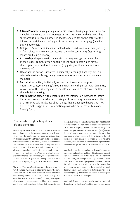- Citizen Power: forms of participation which involve having a genuine influence on public awareness or consciousness raising. The person with dementia has autonomous influence on others in society, and decides on the nature of the influencing activity (e.g. taking part in an action group or campaign) and its desired outcomes.
- Delegated Power: participants are helped to take part in an influencing activity or form of action involving contact with the wider community (e.g. writing a report; producing guidance).
- Partnership: the person with dementia is actively engaged with members of the broader community on mutually-identified projects which have a shared goal, or co-produced outcomes (e.g. giving feedback on a service or intervention).
- Placation: the person is involved in personally meaningful activity, but in a relatively passive role (e.g. being taken to events as a spectator or audience member).
- **Consultation:** activity initiated by others that involves exchange of information, and/or meaningful social interaction with persons with dementia, who are nevertheless recognised as equals, able to express of choice, and/or share decision-making.
- Informing: the person with dementia is given information intended to inform his or her choice about whether to take part in an activity or event or not. He or she may be told in advance about things that are going to happen, but not asked to make suggestions. Information provided is not necessarily in userfriendly format.

#### From needs to rights: biopolitical life and dementia

Following the work of Kitwood and others, it may be argued that much of the apparent progression of dementia is already the result of society's responses and reactions. In this respect, anything that we can do to keep people with dementia socially included is, in itself, likely to reduce the deterioration that can result all too easily from loneliness, boredom, lack of interpersonal communication and absence of meaningful activity. It is not enough to move beyond merely 'doing no harm' in a context in which people with dementia are harmed daily by society's response to them. We need to go further, moving towards ethical principles of equality and justice as well as beneficence.

The work of Agamben (1999) draws attention to the way in which civil society divides its citizens into those who have biopolitical life (i.e. the status of political beings) and those who are relegated to a lesser status of 'bare life' only (also described as a 'state of exception'). Currently, many people with dementia are relegated to this state of exception, and it becomes increasingly likely as their circumstances

change over time. The agenda may therefore need to shi to reinstating full human rights to people with dementia rather than attempting to meet their needs through initiatives that give them in a passive role. Katz (2002) coined the term 'experts by experience' to capture the sense that older people, including those with dementia, are in the best position to inform others about what it is like to have the condition, what is needed in order to make improvements, and how to shape the kind of society they wish to live in.

Applying human rights principles to dementia promotes autonomy and decision making, which includes recognition of the right to take certain risks. Some members of the community, including many family members, do not consider it acceptable for people with dementia to take risks which may result in injury, or to make choices that others may see as resulting in a threat to their personal dignity. It may be argued, however, that preventing people from doing things which involve or result in some degree of risk is an abuse of human rights.

As Clough (2014) notes, a narrowly medical model of dementia, which is disease/condition specific, is no longer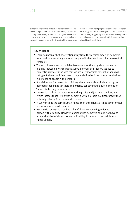supported by evidence. Instead we need a biopsychosocial model of cognitive disability that is inclusive, and one that actively seeks social justice for and alongside people with dementia. We also need to recognise the personal experience of impairment, and the diversity of the experience, needs and interests of people with dementia. Shakespeare et al. (2017) advocate a human rights approach to dementia and disability, suggesting that this would open up space for collaboration between people with dementia and other disability rights activists.

#### Key message

- There has been a shift of attention away from the medical model of dementia as a condition, requiring predominantly medical research and pharmacological remedies.
- The adoption of a social model or framework for thinking about dementia is being increasingly encouraged. A social model of disability, applied to dementia, reinforces the idea that we are all responsible for each other's wellbeing or ill-being and that there is a great deal to be done to improve the lived experience of people with dementia.
- A social model framework for thinking about dementia and a human rights approach challenges concepts and practice concerning the development of 'dementia-friendly communities'.
- Dementia is a human rights issue with equality and justice to the fore, and which locates those living with dementia within a socio-political context that is largely missing from current discourse.
- If everyone has the same human rights, then these rights are not compromised when someone has dementia.
- $\bullet$  People with dementia may find it helpful and empowering to identify as a person with disability. However, a person with dementia should not have to accept the label of either disease or disability in order to have their human rights upheld.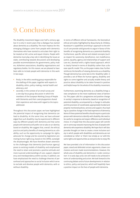The disability movement began over half a century ago but it is only in recent years that a dialogue has started about dementia as a disability. The main impetus for this emerging dialogue came from people with dementia themselves who have started to articulate their right to be treated as full, active and equal citizens. People with dementia must play a key role in identifying the issues at stake, contributing towards discussions and developing possible recommendations for governments, policy makers, Alzheimer associations, disability organisations and regulatory bodies. For this reason, we are pleased to have been able to include people with dementia in this work in two ways:

- $\bullet$  firstly, in the ethics working group responsible for the drafting of this paper, together with experts in disability, ethics, policy making, mental health and advocacy, and
- secondly, in the context of an email survey and a one-day focus group discussion in which the members of the European Working Group of People with Dementia and their carers/supporters shared their experience and views with regard to the topics addressed.

Throughout this discussion paper, we have highlighted the potential impact of recognising that dementia can lead to disability. At the same time, we have acknowledged that such disability may be experienced in different ways by different people with dementia and that some people with dementia will prefer not to take on an identity based on disability. We suggest that, overall, the ethical, practice and policy benefits of viewing dementia as a disability, such as the opportunity to campaign for rights, advocate for change and be covered by legislation promoting human rights (e.g. based on the CRPD), outweigh the disadvantages. We have therefore drawn attention to the challenges that dementia (and human agency) poses to existing models of disability and emphasised the need to retain and promote a positive attitude and more nuanced understandings of care, support, dependency and interdependency within society. In addition, we have emphasised the need to challenge theories of personhood and approaches to social inclusion which serve to exclude and devalue people with dementia, with or without disability.

In terms of different ethical frameworks, the biomedical ethical principles highlighted by Beauchamp & Childess, Nussbaum's capabilities and Kittay's approach to the ethics of care provide solid grounds to argue in favour of the benefits of recognising dementia as a potential disability. Furthermore, specific ethical and related concepts (such as respect for autonomy, beneficence, non-maleficence. justice, equality, agency and relationships of support and care etc.) dovetail with a rights-based approach, which is clearly framed in terms of disability rather than a disease-specific model. This, as the paper makes clear, further reinforces the benefits of viewing dementia as a disability. Though dementia has come late to the 'disability table', it provides a set of filters for human agency, disability and rights to come together and actually enable theory and practice about disability to be taken forward in positive and helpful ways for the whole of the disability movement.

Furthermore, examining dementia as a disability brings a new complexion to the more traditional views of dementia. This paper calls for a progressive and positive change in society's response to dementia, based on recognition of potential disability, accompanied by a change in attitudes and the provision of coordinated, appropriately funded and properly monitored polices, services and support, thus leading to a positive change in the lived experience of dementia. None of these potential benefits should require a particular person with dementia to identify with disability. We need to be careful to recognise and respect difference and individual choice. It is hoped that this discussion paper will contribute in some way towards improving the lives of people with dementia who experience disability. We hope that it will also provoke thought on how to create a more inclusive society in which people with disabilities and dementia are not considered as 'other' or 'them', but simply as 'us' with the same rights and opportunities as everyone else to enjoy life.

We have provided a lot of information in this discussion paper, raised and defended certain arguments, drawn conclusions and even made recommendations. However, the whole area of disability and dementia is 'under construction'. It is early days and a lot still needs to be achieved in terms of understanding and action. We look forward to the continuing debate and to future developments in relation to ethics, policy and practice, which will hopefully have a positive impact on the lives of people with dementia.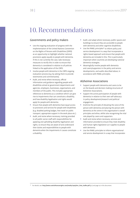## 10. Recommendations

#### Governments and policy makers

- Use the ongoing evaluation of progress with the implementation of the United Nations Convention on the Rights of Persons with Disabilities (CRPD) as an opportunity to highlight whether national provisions apply equally to people with dementia. If this is not currently the case, take necessary measures to rectify this in order to ensure that dementia is considered in relation to all policies linked to the application of the CRPD.
- Involve people with dementia in the CRPD ongoing evaluation process (e.g. by asking them to provide testimonies and commentaries).
- Audit, and revise where necessary, official information and guidance regarding people with disabilities aimed at government departments and agencies, employers, businesses, organisations, and members of the public. This includes appropriate references to dementia as a condition which can give rise to impairments that can constitute a disability, and how disability legalisation and rights would apply for people with dementia.
- Ensure that people with dementia have equal access to provisions and services for people with disabilities (e.g. disabled parking badges, free travel on public transport, appropriate support in the work place etc.).
- Audit, and revise where necessary, training provided to all public sector staff with responsibilities for applying and upholding disability legalisation and rights, to ensure they are aware of and understand their duties and responsibilities to people with dementia when the impairments it causes constitute a disability.
- Audit, and adapt where necessary, public spaces and buildings to ensure they are accessible to people with dementia and other cognitive disabilities.
- Use the PANEL principles<sup>30</sup> to inform policy and service development in a way that incorporates a rights-based approach and ensure that people with dementia are included in this. This is particularly important when countries are developing national dementia strategies.
- Meaningfully involve people with dementia and carers/supporters in the policy and service developments, and audits described above, in accordance with PANEL principles.

#### Alzheimer Associations

- Support people with dementia and carers to be on the boards and decision making structures of Alzheimer Associations.
- Support the active participation of people with dementia in relation to their own self-advocacy in policy development/research and political engagement.
- Enshrine the principle of elevating the voice of the person with dementia and placing the person with dementia at the centre in the organisation's overall principles and ethos, whilst also recognising the vital role played by carers and supporters.
- Audit and revise where necessary, services and information provided to ensure they meet disability and human rights legislation as it applies to people with dementia.
- Use the PANEL principles to inform organisational and service development in a way that incorporates

<sup>30</sup> For details, see: http://www.scottishhumanrights.com/media/1409/shrc\_hrba\_leaflet.pdf (p.1) and page 14 in this document.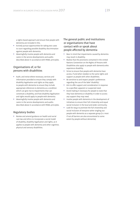a rights-based approach and ensure that people with dementia are included in this.

- Actively pursue opportunities for taking test cases to court regarding possible disability discrimination against people with dementia.
- Meaningfully involve people with dementia and carers in the service developments and audits described above in accordance with PANEL principles.

#### Organisations of, or for persons with disabilities

- Audit, and revise where necessary, services and information provided to ensure they comply with disability legalisation and rights as they apply to people with dementia to ensure they include appropriate references to dementia as a condition which can give rise to impairments that can constitute a disability, and how disability legalisation and rights would apply to people with dementia.
- Meaningfully involve people with dementia and carers in the service developments and audits described above in accordance with PANEL principles.

#### Regulatory bodies

 Review and amend guidance on health and social care law and ethics to incorporate a social model of disability, disability legalisation and rights, as it applies to people with dementia and other cognitive, physical and sensory disabilities.

#### The general public and institutions or organisations that have contact with or speak about people affected by dementia

- Bear in mind that impairments caused by dementia may result in disability.
- Realise that the provisions contained in the United Nations Convention on the Rights of Persons with Disabilities also apply to people with dementia who experience disability.
- Strive to ensure that people with dementia have access, if and when needed, to the same rights and support as people with other disabilities.
- Be sensitive to and respect people's preferences regarding the use of the label 'disability'.
- Aim to offer support and consideration in response to a specified, apparent or suspected need.
- Avoid making it necessary for people to state that they have dementia or disability in order to access any support they may need.
- Involve people with dementia in the development of initiatives to ensure their full citizenship and equal social inclusion in the local and wider community.
- Look for ways to promote the full citizenship and social inclusion of everyone rather singling out people with dementia as a separate group (i.e. most if not all barriers are also encountered to some extent by people without dementia).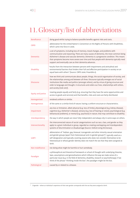# 11. Glossary/list of abbreviations

| <b>Beneficence</b>        | doing good whilst trying to balance possible benefits against risks and costs.                                                                                                                                                                                                                                                                                                                                            |
|---------------------------|---------------------------------------------------------------------------------------------------------------------------------------------------------------------------------------------------------------------------------------------------------------------------------------------------------------------------------------------------------------------------------------------------------------------------|
| <b>CRPD</b>               | abbreviation for the United Nation's Convention on the Rights of Persons with Disabilities,<br>which came into force in 2006.                                                                                                                                                                                                                                                                                             |
| <b>Dementia</b>           | a set of symptoms, including loss of memory, mood changes, and problems with<br>communication and reasoning. There are many causes of dementia, the most common being<br>Alzheimer's disease and vascular dementia. Dementia is a progressive condition. This means<br>that symptoms become more severe over time and that people with dementia typically need<br>support and eventually care as their dementia advances. |
| <b>Disability</b>         | "results from the interaction between persons with impairments and attitudinal and<br>environmental barriers that hinders their full and effective participation in society on an<br>equal basis with others" (Source: CRPD 2006, Preamble e).                                                                                                                                                                            |
| <b>Discourse</b>          | how we think and communicate about people, things, the social organisation of society, and<br>the relationships among and between all three. Discourse typically emerges out of social<br>institutions like media and politics (amongst others), and by virtue of giving structure and<br>order to language and thought, it structures and orders our lives, relationships with others,<br>and society (Cole 2017).       |
| <b>Equity and justice</b> | treating people equally and fairly (e.g. ensuring that they have the same opportunities and<br>access to goods and services) and that benefits, risks and costs are fairly distributed.                                                                                                                                                                                                                                   |
| Homogenised               | rendered uniform or similar.                                                                                                                                                                                                                                                                                                                                                                                              |
| Homogeneous               | of the same or a similar kind of nature; having a uniform structure or characteristics.                                                                                                                                                                                                                                                                                                                                   |
| Impairment                | any loss or limitation, albeit physical (e.g. loss of limbs), physiological (e.g. kidney disease),<br>cognitive (e.g. Alzheimer's disease), sensory (e.g. loss of hearing or vision), psychological (e.g.<br>behavioural problems), or mental (e.g. psychosis) in nature, that may contribute to disability.                                                                                                              |
| Interdependency           | the way in which people are never fully independent and always rely in some ways on others.                                                                                                                                                                                                                                                                                                                               |
| Intersectionality         | the interconnected nature of social categorisations such as race, class, and gender as they<br>apply to a given individual or group, regarded as creating overlapping and interdependent<br>systems of discrimination or disadvantage (Source: Oxford Living Dictionary).                                                                                                                                                 |
| LGBT+                     | abbreviation of "lesbian, gay, bisexual, transgender and other minority sexual orientation<br>and gender groups (apart from heterosexual and cis gender groups <sup>31</sup> )", typically used as a<br>self-designation and typically covering anyone who does not consider themselves to be<br>heterosexual or whose gender identity does not match the sex that they were assigned at<br>birth.                        |
| Non-maleficence           | not doing what might be harmful or hurt somebody.                                                                                                                                                                                                                                                                                                                                                                         |
| Paradigm                  | a philosophical and theoretical framework or school of thought with underlying theories,<br>laws, assumptions and generalisations which influence the way we make sense of a<br>particular issue (e.g. in the field of dementia, disability, research or psychotherapy). If we<br>think of the phrase "thinking inside the box", the paradigm might be the box.                                                           |
| Pathological              | caused by or related to a disease.                                                                                                                                                                                                                                                                                                                                                                                        |

<sup>31</sup> Cisgender – where an individual's experience of their own gender corresponds with the sex they were assigned at birth.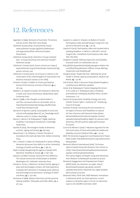## 12. References

- Agamben G (1999). *Remnants of Auschwitz: The witness and the archive*. New York: Zone Books.
- Alzheimer Europe (2013). *On personhood*. http:// www.alzheimer-europe.org/Ethics/Definitionsand-approaches/Other-ethical-principles/ Personhood
- Alzheimer Europe (2015). *Dementia in Europe Yearbook 2015: "Is Europe becoming more dementia friendly?"* Alzheimer Europe
- Alzheimer's Society (2017), *Person-centred care*, https:// www.alzheimers.org.uk/info/20009/ treatments/159/ person-centred\_care
- Alzheimer's Society (2017). *List of issues in relation to the initial report of the United Kingdom of Great Britain and Northern Ireland [in relation to the CRPD].*
- Arnstein S R (1971). A ladder of citizen participation. *Journal of the American Institute of Planners*, **35**, 4: 216–224.
- Baldwin C & Capstick A (2007). *Tom Kitwood on dementia: a reader and critical commentary.* Maidenhead: Open University Press.
- Barich J (1998). *A Few Thoughts on Martin Buber's I and Thou*. Accessed online on 29 October 2017 at: http://teacherrenewal.wiki.westga.edu/file/view/ I+and+Thou+by+Barich.pdf
- Barnard A & Spencer J (2002). *Encyclopedia of social and cultural anthropology* (New ed.]. ed., Routledge world reference series Y). London: Routledge.
- Barnes C, Mercer G & Shakespeare T (1999). *Exploring Disability: A Sociological Introduction*, Cambridge: Polity Press.
- Bartlett R (2014). The emergent modes of dementia activism. *Ageing and Society*, **34**: 623–644.
- Beauchamp T L & Childress J F (2001). *Principles of biomedical ethics* (5th ed). New York: Oxford University Press.
- Birt L, Poland F, Csipke E & Charlesworth G (2017). Shifting dementia discourses from deficit to active citizenship. *Sociology of Health and Illness*, **39**, 2: 199–211.
- Boyle G (2014). Recognising the agency of people with dementia. *Disability & Society*, **29**, 7: 1130–1140.
- Branson J & Miller D (2002). Damned for their difference: *The cultural construction of deaf people as disabled.* Washington DC: Gallaudet University Press
- Brittain K, Corner L, Robinson L & Bond J (2010). Ageing in place and technologies of place: the lived experience of people with dementia in changing social, physical and technological environments. *Sociology of Health and Illness*, **32**, 2: 272–287.
- Buchanan A (1988). Advance directives and the personal identity problem. *Philosophy and Public Affairs*, 17, 4: 277–302.
- Capstick A, Ludwin K, Chatwin J & Walters E R (2016) Participatory video and well-being in long-term care. *Journal of dementia care*, **24**, 1: 26–29.
- Capstick A (2012). Participatory video and situated ethics: avoiding disablism. In Milne E-J, Mitchell C and de Lange N eds. *A handbook of participatory video*. New York: Alta Mira.
- Chadwick A (2000). *Defining Impairment and Disability*. Accessed online on 6 November 2017 at:
- http://pf7d7vi404s1dxh27mla5569.wpengine.netdna-cdn. com/files/library/Northern-Officers-Group-definingimpairment-and-disability.pdf
- Clough B (2014). 'People like that': Realising the social model in mental capacity jurisprudence. *Medical Law Review*, **23**, 1: 53–80.
- Cole N (2017). *What is discourse?* https://www.thoughtco. com/discourse-definition-3026070
- Corker M & Shakespeare T (2002). Mapping the terrain. In M. Corker & T. Shakespeare (eds.), *Disability/ postmodernity: Embodying disability theory*. London: Continuum, 1–17.
- Council of Europe (2017). *Disability Strategy 2017–2023 entitled "human rights: a reality for all"*. Strasbourg: Council of Europe
- Crowther N (2016). *Harnessing the UN Convention on the Rights of Persons with Disabilities to improve the lives of persons with dementia* https://www. dementiaallianceinternational.org/wp-content/ uploads/2016/04/Disability-Rights-for-persons-withdementia\_DAI-ADI-position-paper.pdf Accessed 20.07.2017.
- Curtis B & Vehmas S (2016). A Moorean argument for the full moral status of those with profound intellectual disability. *Journal of Medical Ethics,* **42**, 1: 41–45.
- DEEP, *The Dementia Engagement and Empowerment Project*, Deep Guides, http://dementiavoices.org.uk/resources/ deep-guides/
- Dementia Alliance International (2016). *The human rights of people living with dementia; from rhetoric to reality.* https://www.dementiaallianceinternational. org/wp-content/uploads/2016/04/ The-Human-Rights-of-People-Living-with-Dementiafrom-Rhetoric-to-Reality.pdf accessed 20.07.2017.
- Dementia Engagement and Empowerment Project (DEEP) (2016). *Our dementia, our rights.* http:// dementiawithoutwalls.org.uk/wp-content/ uploads/2016/10/Our-dementia-Our-rights-booklet. pdf accessed 20.07.2017.
- Dementia Policy Think Tank, DEEP Network, Innovations in Dementia (2017). *Our lived experience: current evidence on dementia rights in the UK. An alternative report to the UNCRPD Committee.* DEEP.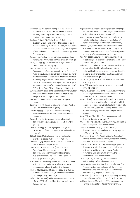- Devlieger PJ & Albrecht GL (2000). Your experience is not my experience: the concept and experience of disability on Chicago's near West Side. *Journal of Disability Policy Studies*, **11**, 1: 51–60.
- Devlieger P, Rusch F & Pfeiffer D (2003). Rethinking disability as same and different! Towards a cultural model of disability. In Patrick Devlieger, Frank Rusch & David Pfeiffer, eds. Rethinking Disability: The Emergence *of New De nitions, Concepts and Communities*. pp. 9–16. Garant: Antwerp.

Dreaper J (2017). *Allow nurses with dementia to continue working*. http://www.bbc.com/news/health-39928476

Driedgner D (1989). *The last of the civil rights movement*. London: Hurst and Company

Essex Autonomy Project (2014). *Achieving CRPD Compliance – Is the Mental Capacity Act of England and Wales compatible with the UN Convention on the Rights of Persons with disabilities? If not, what next?* An Essex Autonomy Project Position Paper Report submitted to the UK Ministry of Justice 22 September 2014 https:// autonomy.essex.ac.uk/wp-content/uploads/2017/01/ EAP-Position-Paper-FINAL.pdf Accessed 25.07.2017

European Commission (2010). *European Disability Strategy 2010–2020: a renewed commitment to a barrier-free Europe*. Brussels: European Commission.

- Fairclough N (1995). *Language and power*. Longman: Harlow.
- Garfinkel H (1967). Studies in ethnomethodology. Prentice Hall. Englewood Cliffs: New Jersey.
- Garland R (1995). *The Eye of the Beholder: Deformity and Disability in the Graceo-Roman World*, London: Duckworth.
- George DR (2010). Overcoming the social death of dementia through language. *The Lancet*, **376**, 9741: 586–587.
- Gilleard C & Higgs P (2010). Aging without agency: Theorizing the fourth age. *Aging & Mental Health,* **14**, 2: 121–128.
- Gillon R (1994). Medical ethics: four principles plus attention to scope. *BMJ*, **309,** 6948: 184–188.
- Goffman E (1963). Stigma: notes on the management of *spoiled identity*. Penguin Books.
- Gove D, Diaz A, Georges J et al. (2017). Alzheimer Europe's position on involving people with dementia in research through PPI (patient and public involvement). *Aging & Mental Health*, DOI: 10.1080/13607863.2017.1317334.

Harré R (2004). *Positioning theory.* Unpublished Internet article. Accessed online on 18 July 2017 at: www. massey.ac.nz/~alock/virtual/positioning.doc

- Hughes B (2002). Disability and the body. In C. Barnes, M. Oliver & L. Barton (eds.), *Disability studies today*. Cambridge: Polity Press, 58–76.
- In from the Cold (1981). *A liberation magazine for people with disabilities*. First edition. Retrieved online on 27 October 2017 at:
- https://tonybaldwinson.files.wordpress.com/2014/09/ in-from-the-cold-a-liberation-magazine-for-peoplewith-disabilities-1st-issue-june-1981.pdf
- Jones EE, Farina A, Hastorf AH, Markus H, Miller DT & Scott RA (1984). *Social stigma: the psychology of marked relationships*. WH Freeman and Company. Kapitan A (2017). *On "Person-First Language: It's Time*
- *to Actually Put the Person First*. Radical Copyeditor. Retrieved on 15 July 2017 at: https://radicalcopyeditor. com/2017/07/03/person-centered-language/

Katz A M (2000). A council of elders: creating a multivoiced dialogue in a community of care. *Social Science and Medicine*, **50**, 6: 851–860.

- Kelley-Moore JA, Schumacher JG, Kahana E & Kahana B (2006). When do older adults become ''disabled''? Social and health antecedents of perceived disability in a panel study of the oldest old. *Journal of Health and Social Behavior*, **47**, 2: 126–141.
- Kitchen, M (2000) [1980]. *Europe Between the Wars*. New York: Longman.
- Kittay EF (2005). At the margins of moral personhood. *Ethics* **116**, 1: 100–131.
- Kittay EF & Carlson L (Ed.) (2010). *Cognitive Disability and Its Challenge to Moral Philosophy*. Chichester, West Sussex; Malden, MA: Wiley-Blackwell.
- Kittay EF (2010). The personal is philosophical is political: a philosopher and mother of a cognitively disabled person sends notes from the battlefield. In Kittay E.F., Carlson L. (eds.), *Cognitive Disability and its Challenge to Moral Philosophy*. Malden, MA: Wiley-Blackwell, 393–413.
- Kittay EF (2011). The ethics of care, dependence and disability. *Ratio Juris*, **24**, 1: 49–58.
- Kitwood T (1997). *Dementia reconsidered: the person comes*  first. Buckingham: Open University Press.

Kitwood T & Bredin K (1992). Towards a theory of dementia care: Personhood and well-being. *Ageing and Society*, **12**: 269–287.

- Knoll KR (2012). *Feminist Disability Studies: Theoretical Debates, Activism, Identity Politics, & Coalition Building,* PhD Thesis. University of Washington.
- Litherland R & Capstick A (2014). Involving people with dementia in service development and evaluation. In Downs M and Bowers B, eds (2014) *Excellence in dementia care: research into practice*, 2nd ed. Maidenhead: Open University Press.
- Locke J (1975/1690). *An Essay Concerning Human Understanding.*Oxford: Clarendon Press.
- Longneaux JM (2014). L'éthique à la recherche bien-être, l'engagement de chacun.Speech at the colloque «Maladie d'Alzheimer: L'éthique à la recherche du bien-'etre».Huy, Belgium, 24 April 2014 .

Maier K (2001). Citizen participation in planning: climbing a ladder? *European Planning Studies*, **9**, 6: 707–719.

McMahan J (2002). *The Ethics of Killing: Problems at the Margins of Life*. Oxford: Oxford University Press.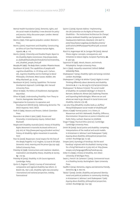- Mental Health Foundation (2015). *Dementia, rights, and the social model of disability. A new direction for policy and practice. Policy discussion paper*. London: Mental Health Foundation.
- Morris J (1991). *Pride against prejudice*. London: Women's Press.
- Morris J (2001). Impairment and Disability: Constructing an Ethics of Care That Promotes Human Rights. *Hypatia*, **16**, 4: 1–16.
- Morris J (2005). *Citizenship and Disabled People. Report to the Disability Rights Commission*. http://www.leeds. ac.uk/disabilitystudies/archiveuk/morris/Citizenship\_ and\_disabled\_people\_final.pdf
- Murphy RF (1987). *The Body Silent*. London: Phoenix House. Nussbaum M (2010). The capabilities of people with
- cognitive disabilities. In: EF Kittay and L Carlson, eds. *Cognitive Disability and Its Challenge to Moral Philosophy*. Chichester, West Sussex; Malden, MA: Wiley-Blackwell, pp. 75–95.
- Nussbaum M (2011). *Creating Capabilities: The Human Development Approach*. Cambridge, MA: Harvard University Press.
- Oliver M (1990). *The Politics of Disablement*, Basingstoke: Macmillan.
- Oliver M (1996). *Understanding Disability: From Theory to Practice*, Basingstoke: Macmillan.
- Organisation for Economic Co-operation and Development (OECD) (2015). Addressing dementia: The OECD response. Paris: OECD.
- Parfit D (1984). *Reasons and Persons*. Oxford: Clarendon Press.
- Peacocke A & Gillett G (eds.) (1987). *Persons and Personality: A Contemporary Inquiry*. Oxford: Basil Blackwell.
- People with Disability Australia (2017). *History of Disability Rights Movement in Australia* Accessed online on 6 July 2017 at: http://www.pwd.org.au/student-section/ history-of-disability-rights-movement-in-australia. html
- Post SG (2006). Respectare: moral respect for the lives of the deeply forgetful. In JC Hughes, SJ Louw & SR Sabat. *Dementia: mind, meaning and the person* (pp.223–234): Oxford University Press.
- Priestley M (1998). Constructions and creations: Idealism, materialism and disability theory. *Disability & Society*, **13**, 1: 75–94.
- Priestley M (2003). *Disability: A Life Course Approach*, Cambridge: Polity.
- Quinn G, Degener T (2002). A survey of international, comparative and regional disability law reform. In: Breslin ML, Yee S, eds. *Disability rights law and policy - international and national perspectives*. Ardsley, Transnational
- Quinn G (2009). *Keynote Address: 'Implementing the UN Convention on the Rights of Persons with Disabilities – The Institutional Architecture for Change',* Jacobus tenBroek Disability Law Symposium, NFB Headquarters Baltimore, Maryland, USA April 17, 2009 http://www.nuigalway.ie/cdlp/documents/ publications/NFB%20paper%20final.pdf, accessed 19.07.2017.
- Rüsch N, Angermeyer MC & Corrigan PW (2005). Mental illness stigma: concepts, consequences, and initiatives to reduce stigma. *European Psychiatry*, **20**, 8: 529–539.
- Sapontzis SF (1987). *Morals, Reason, and Animal*s. Philadelphia: Temple University Press.
- Sen A. (1992). *Inequality reexamined*. Oxford: Oxford University Press.
- Shakespeare T (2014). *Disability rights and wrongs revisited*. London: Routledge.
- Shakespeare T, Zeilig H & Mittler P (2017). Rights in mind: Thinking differently about dementia and disability. *Dementia* **0**, 0: 1–14, doi.org/10.1177/1471301217701506.
- Shakespeare T & Watson N (2001). The social model of disability: An outdated ideology?. In Sharon N. Barnartt, Barbara M. Altman (ed.) Exploring Theories and Expanding Methodologies: Where we are and where we need to go, *Research in Social Science and Disability*, Volume 2 (9–28).
- see also http://disability-studies.leeds.ac.uk/files/ library/Shakespeare-social-model-of-disability.pdf
- Silvers A (1998) 'Formal justice', in A. Silvers, D. Wasserman and M.B. Mahowald, *Disability*, *Difference*, *Discrimination: Perspectives on Justice in Bioethics and*  Public Policy, Lanham: Rowman & Littlefield.
- Singer P (1993). *Practical Ethics (2nd ed.*). Cambridge: Cambridge University Press.
- Smith SR (2009). Social justice and disability: competing interpretations of the medical and social models. In Kristainsen K, Vehmas S and Shakespeare T (eds) *Arguing about disability: philosophical perspectives*. London: Routledge (pp. 15–30).
- Snopes (2011). *Etymology of Handicap. Did the word 'handicap' originate with the disabled's having to beg for a living?* Retrieved on 15 July 2017 at: http://www. snopes.com/language/offense/handicap.asp.
- Stiker H-J (1999). *A history of disability*, Ann Arbor: University of Michigan Press.
- Swain J, French S & Cameron C (2003). *Controversial Issues in a Disabling Society*. Buckingham: Open University Press.
- Swaffer K (2014). Dementia, stigma and dementia-friendly. *Dementia*, **13**, 6: 709–716.
- Takala T (2009). Gender, disability and personal identity: moral and political problems in community thinking. In Kristainsen K, Vehmas S and Shakespeare T (eds) *Arguing about disability: philosophical perspectives*. London: Routledge (pp. 124–133).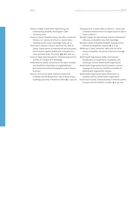- Thomas C (1999). *Female forms: Experiencing and understanding disability*. Buckingham: Open University Press.
- Thomas C (2002). Disability theory: Key ideas, issues and thinkers. In C. Barnes, M. Oliver & L. Barton (eds.), *Disability studies today*. Cambridge: Polity, 38–57.
- Thornicroft G, Brahan E, Rose D, Sartorius N & Leese M (2009). Global pattern of experienced and anticipated discrimination against people with schizophrenia: a cross-sectional study. *The Lancet,* **373***:* 9661: 408–415.
- Tronto JC (1993). *Moral Boundaries: A Political Argument for an Ethic of Care*.New York: Routledge.
- United Nations (2006). *Convention on the rights of people with disabilities* http://www.un.org/disabilities/ documents/convention/convoptprot-e.pdf, Accessed 19.07.2017
- Vehmas S & Curtis BL (2017). Profound Intellectual Disability and the Bestowment View of Moral Status. *Cambridge Quarterly of Healthcare Ethics* **26**, 3: 505–516.
- Velasquez M et al. (2010). *What is ethics?* s.l.: Santa Clara University (revised version of original article of 1987 in "issues in ethics").
- Wendell S (1996). *The rejected body: Feminist philosophical*  reflections on disability. New York: Routledge.
- Wendell S (2001). Unhealthy Disabled: Treating Chronic Illnesses as Disabilities. *Hypatia*, **16**, 4: 17–33.
- Williamson T (2015). Dementia, rights and the social model of disability. *The Journal of Dementia Care*, **23**, 5: 12–13.
- World Health Organisation (1980), International Classification of Impairments, Disabilities, and Handicaps, Geneva: World Health Organisation.
- World Health Organisation (2002),*Towards a common language for functioning, disability and health ICF*, World Health Organisation: Geneva.
- World Health Organisation (2011). *World report on disability*, Geneva: World Health Organisation.
- Yuval-Davis N (2006). Intersectionality in feminist politics. *European Journal of Women's Studies*, **13**, 3: 193–209.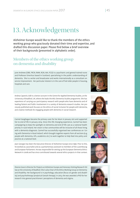## 13. Acknowledgements

Alzheimer Europe would like to thank the members of the ethics working group who graciously donated their time and expertise, and drafted this discussion paper. Please find below a brief overview of their backgrounds (presented in alphabetic order).

### Members of the ethics working group on dementia and disability

June Andrews (OBE, FRCN, RMN, RGN, MA, FCGI) is a psychiatric and general trained nurse and Professor Emeritus based in Scotland, specialising in the public understanding of dementia. She is a writer and broadcaster and works internationally as a consultant on service improvement. Her particular interest is in the care of frail older people in housing, hospitals and care.

Andrea Capstick, EdD is a Senior Lecturer in the Centre for Applied Dementia Studies, at the University of Bradford, UK, where she leads the MSc Dementia Studies programme. She has experience of carrying our participatory research with people who have dementia and of leading Patient and Public Involvement in a variety of dementia research studies. Her previously published work focuses on the ethics of social inclusion for people with dementia, and creative methods for engaging people with dementia in social research.

Carmel Geoghegan became the primary carer for her Mum in January 2011 and supported her to end of life in January 2014. Since this life changing experience, Carmel has been campaigning to keep the spotlight on dementia and end-of-life care as a national health priority in rural Ireland. Her vision is that communities will be inclusive of all those living with a dementia diagnosis. Carmel has successfully organised two conferences on 'Living with Dementia in Rural Ireland', which brought together experts from all sections (e.g. people with dementia, GPs, academics etc.) to work together to help feed into policy and practice at a national level.

Jean Georges has been the Executive Director of Alzheimer Europe since 1996. Prior to this, he worked as a journalist and as a parliamentary assistant to members of the Luxembourg and European Parliament. He was responsible for setting up the European Dementia Ethics Network in 2008 and has since contributed towards several ethics projects in that context.

Dianne Gove is Director for Projects at Alzheimer Europe and Honorary Visiting Research Fellow at the University of Bradford. She is also Chair of the Ethics Working Group on Dementia and Disability. Her background is in psychology, education (focus on gender and disability) and psychotherapy (analytical Gestalt therapy). In 2013, she was awarded a PhD for her research into general practitioners' perceptions of dementia and stigma.







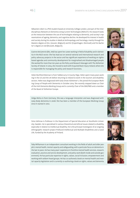Sébastien Libert is a PhD student based at University College London, and part of the Interdisciplinary Network on Dementia Using Current Technologies (INDUCT). His research looks at the interaction between the use of technologies relating to dementia, and society's representations of ageing, dementia, and cognitive decline. He developed his interest in health and society during his studies in Medical Anthropology and Sociology, mainly through his Masters degree at KUL, (Leuven, Belgium) and KU (Copenhagen, Denmark) and his Bachelor's degree at ULB (Brussels, Belgium).

Grainne McGettrick (BSc, MA) has spent her career working in field of disability and in dementia in the NGO sector. She has lead out on several national and international research and policy advocacy projects in the sector and has significant experience of working on rightsbased agendas and community development for marginalised and disadvantaged people. She worked for more than ten years as the Policy and Research Manager with The Alzheimer Society of Ireland. In 2014, she moved to work with Acquired Brain Injury Ireland, where she is responsible for managing the policy and research functions.

Helen Rochford-Brennan is from Tubbercurry in County Sligo. Helen spent many years working in the US and the UK before returning to Ireland to work in the tourism and disability sectors. Helen was diagnosed with Early Onset Alzheimer's. She joined the European Working Group of People with Dementia in October 2014. She recently stepped down as Chair of the Irish Dementia Working Group and is currently Chair of the EWGPWD and a member of the Board of Alzheimer Europe.

Helga Rohra is from Germany. She was a language interpreter and was diagnosed with Lewy Body dementia in 2008. She has been a member of the European Working Group since it started in 2012.

Simo Vehmas is Professor in the Department of Special Education at Stockholm University, Sweden. He is specialised in various theoretical and ethical issues related to disability, especially in relation to intellectual disability. He is the principal investigator of an ongoing ethnographic research project Profound Intellectual and Multiple Disabilities and a Good Life, funded by the Academy of Finland.

Toby Williamson is an independent consultant working in the fields of adult and older people's mental health, mental capacity and safeguarding, with a particular focus on dementia in the last 10 years. He has many years' experience in frontline mental health services, research, evaluation, practice and service development, and policy work (both inside and outside government). He has particular expertise in rights, values, social inclusion, empowerment and working with seldom heard groups. He has co-authored a book on mental health and mental capacity legislation and is currently co-authoring a book on rights, values and dementia.







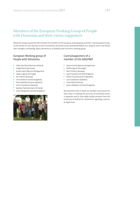### Members of the European Working Group of People with Dementia and their carers/supporters

Alzheimer Europe would also like to thank the members of the European working group and their carers/supporters who, in the context of a one-day face-to-face consultation and email survey, provided feedback on a range of issues, and shared their thoughts and feelings about dementia as a disability with the ethics working group.

#### European Working group of People with Dementia

- Helen Rochford-Brennan (Ireland)
- Helga Rohra (Germany)
- Amela Hajrič (Bosnia Herzegovina)
- **Idalina Aguiar (Portugal)**
- Alv Orheim (Norway)
- Chris Roberts (United Kingdom)
- Nina Balačkova (Czech Republic)
- **Karin Gustafsson (Sweden)**
- Markku Parkkisenniemi (Finland)
- Carol Hargreaves (United Kingdom)



#### Carers/supporters of a member of the EWGPWD

- Samra Kučuk (Bosnia Herzegovina)
- Nelida Aguiar (Portugal)
- Berit Orheim (Norway)
- Jayne Goodrick (United Kingdom)
- Kveta Provinska (Czech Republic)
- **Lars Gustafsson (Sweden)**
- **Sisko Kärki (Finland)**
- Jayne Middleton (United Kingdom)

We would also like to thank our member associations for their help in verifying the accuracy of translated terms in Appendix and Dr Anna Mäki-Petäjä-Leinonen from the University of Helsinki for clarification regarding a particular legal issue.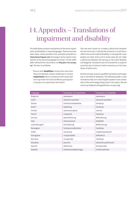# 14. Appendix – Translations of impairment and disability

The table below contains translations of the terms impairment and disability in several languages. These terms have been taken, where possible, from examples provided on http://www.linguee.com, focusing on terms used in translations of the second paragraph of article 1 of the CRPD (often derived from documents on http://eur-lex.europa. eu). The text is as follows:

*"Persons with* **disabilities** *include those who have long-term physical, mental, intellectual or sensory*  **impairments** *which in interaction with various bar*riers may hinder their full and effective participation *in society on an equal basis with others."*

This text was chosen as it makes a distinction between the two terms but it should also be borne in mind that it reflects the social model of disability. In everyday life, many people use other terms and in some cases do not make a distinction between the two (e.g. in the Czech Republic and Bulgaria). Translations are not included for a couple of countries due to failure to reach consensus on the translation of either term.

We did not have access to qualified translators with expertise in the field of disability. The following table is only intended to help non-native English speakers have a better idea of the terminology being used in this report. We welcome any feedback (info@alzheimer-europe.org).

| Language      | <b>Translation of impairment</b> | <b>Translation of disability</b> |
|---------------|----------------------------------|----------------------------------|
| Bulgarian     | увреждане                        | увреждане                        |
| Czech         | zdravotní postižení              | zdravotní postižení              |
| Danish        | funktionsnedsættelse             | handicap                         |
| Dutch         | beperking                        | handicap                         |
| Finnish       | toiminnanrajoite                 | vamma                            |
| French        | incapacité                       | handicap                         |
| German        | Beeinträchtung                   | Behinderung                      |
| <b>Italy</b>  | menomazione                      | disabilità                       |
| Luxembourgish | Aschränkung                      | Behënnerung                      |
| Norwegian     | funksjonsnedsettelse             | handikap                         |
| Polish        | naruszoną                        | niepełnosprawnych                |
| Portuguese    | incapacidades                    | deficiência                      |
| Romania       | incapacități                     | handicap                         |
| Slovakian     | porucha                          | zdravotne postihnutie            |
| Spanish       | deficiencia                      | discapacidad                     |
| Swedish       | funktionsnedsättningar           | funktionshinder                  |